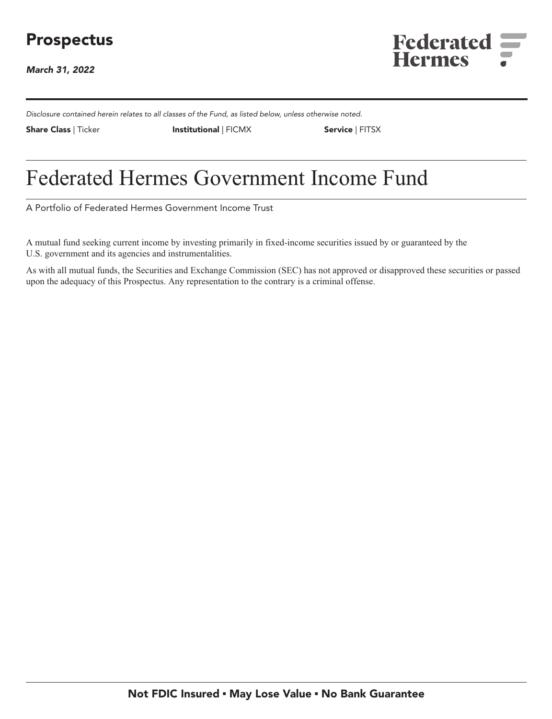# **Prospectus**

**March 31, 2022**



**Disclosure contained herein relates to all classes of the Fund, as listed below, unless otherwise noted.**

**Share Class | Ticker Institutional | FICMX Service | FITSX**

# **Federated Hermes Government Income Fund**

**A Portfolio of Federated Hermes Government Income Trust**

**A mutual fund seeking current income by investing primarily in fixed-income securities issued by or guaranteed by the U.S. government and its agencies and instrumentalities.**

**As with all mutual funds, the Securities and Exchange Commission (SEC) has not approved or disapproved these securities or passed upon the adequacy of this Prospectus. Any representation to the contrary is a criminal offense.**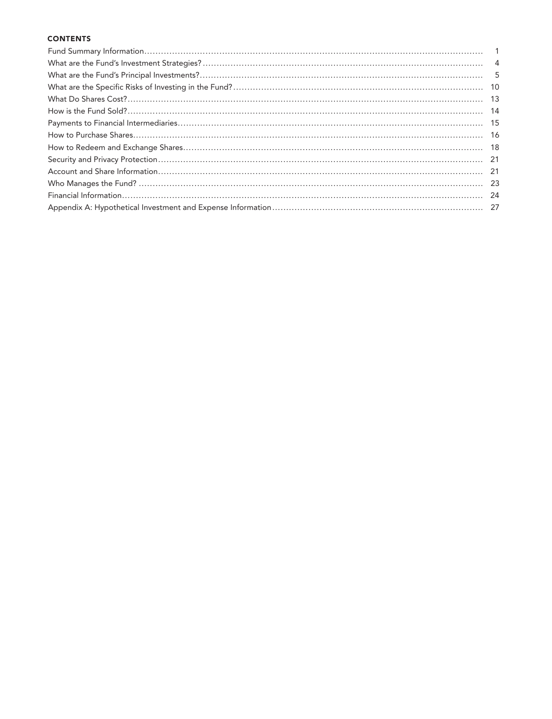#### **CONTENTS**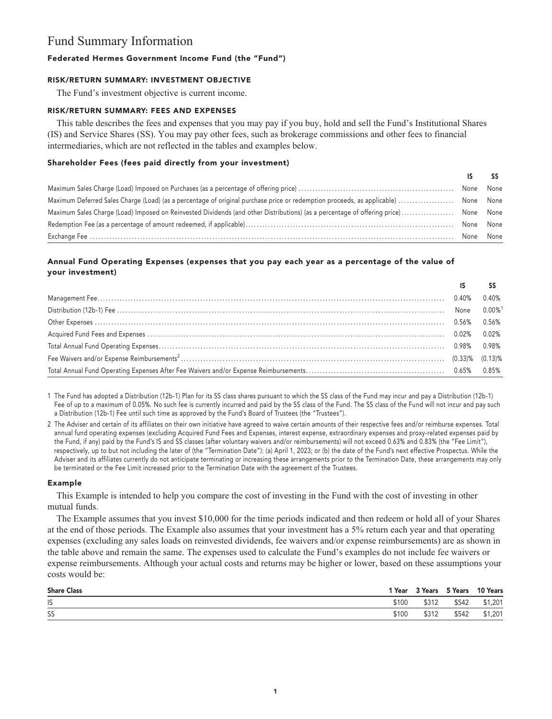# **Fund Summary Information**

#### **Federated Hermes Government Income Fund (the "Fund")**

#### **RISK/RETURN SUMMARY: INVESTMENT OBJECTIVE**

**The Fund's investment objective is current income.**

#### **RISK/RETURN SUMMARY: FEES AND EXPENSES**

**This table describes the fees and expenses that you may pay if you buy, hold and sell the Fund's Institutional Shares (IS) and Service Shares (SS). You may pay other fees, such as brokerage commissions and other fees to financial intermediaries, which are not reflected in the tables and examples below.**

#### **Shareholder Fees (fees paid directly from your investment)**

|                                                                                                                                     | None None |  |
|-------------------------------------------------------------------------------------------------------------------------------------|-----------|--|
| Maximum Deferred Sales Charge (Load) (as a percentage of original purchase price or redemption proceeds, as applicable)  None None  |           |  |
| Maximum Sales Charge (Load) Imposed on Reinvested Dividends (and other Distributions) (as a percentage of offering price) None None |           |  |
|                                                                                                                                     | None None |  |
|                                                                                                                                     | None None |  |

### **Annual Fund Operating Expenses (expenses that you pay each year as a percentage of the value of your investment)**

|                                                                                                                   | $0.40\%$ |
|-------------------------------------------------------------------------------------------------------------------|----------|
|                                                                                                                   |          |
| 0.56% 0.56% 0.56% 0.56% 0.56% 0.56% 0.56% 0.56% 0.56% 0.56% 0.56% 0.56% 0.56% 0.56% 0.56% 0.56% 0.56% 0.56% 0.56% |          |
|                                                                                                                   |          |
|                                                                                                                   |          |
|                                                                                                                   |          |
|                                                                                                                   |          |

**1 The Fund has adopted a Distribution (12b-1) Plan for its SS class shares pursuant to which the SS class of the Fund may incur and pay a Distribution (12b-1)** Fee of up to a maximum of 0.05%. No such fee is currently incurred and paid by the SS class of the Fund. The SS class of the Fund will not incur and pay such **a Distribution (12b-1) Fee until such time as approved by the Fund's Board of Trustees (the "Trustees").**

**2 The Adviser and certain of its affiliates on their own initiative have agreed to waive certain amounts of their respective fees and/or reimburse expenses. Total annual fund operating expenses (excluding Acquired Fund Fees and Expenses, interest expense, extraordinary expenses and proxy-related expenses paid by the Fund, if any) paid by the Fund's IS and SS classes (after voluntary waivers and/or reimbursements) will not exceed 0.63% and 0.83% (the "Fee Limit"), respectively, up to but not including the later of (the "Termination Date"): (a) April 1, 2023; or (b) the date of the Fund's next effective Prospectus. While the Adviser and its affiliates currently do not anticipate terminating or increasing these arrangements prior to the Termination Date, these arrangements may only be terminated or the Fee Limit increased prior to the Termination Date with the agreement of the Trustees.**

#### **Example**

**This Example is intended to help you compare the cost of investing in the Fund with the cost of investing in other mutual funds.**

**The Example assumes that you invest \$10,000 for the time periods indicated and then redeem or hold all of your Shares at the end of those periods. The Example also assumes that your investment has a 5% return each year and that operating expenses (excluding any sales loads on reinvested dividends, fee waivers and/or expense reimbursements) are as shown in the table above and remain the same. The expenses used to calculate the Fund's examples do not include fee waivers or expense reimbursements. Although your actual costs and returns may be higher or lower, based on these assumptions your costs would be:**

| <b>Share Class</b> | 1 Year | 3 Years | 5 Years | 10 Years |
|--------------------|--------|---------|---------|----------|
| IS                 | \$100  | \$312   | \$542   | \$1,201  |
| SS                 | \$100  | \$312   | \$542   | \$1,201  |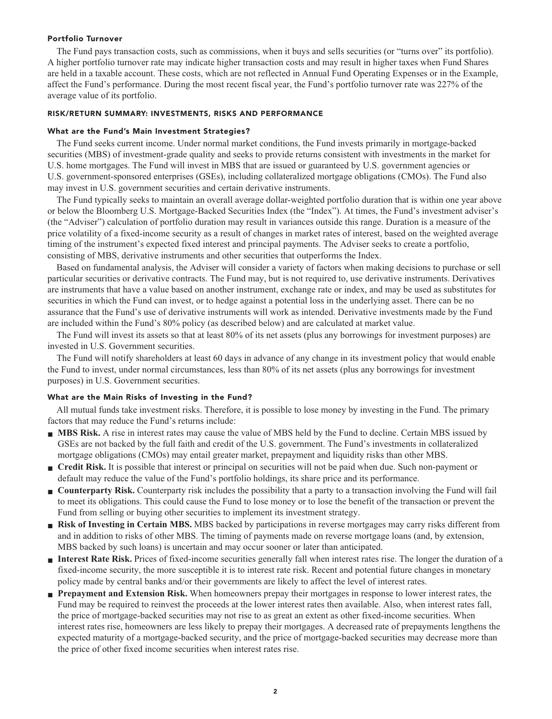#### **Portfolio Turnover**

**The Fund pays transaction costs, such as commissions, when it buys and sells securities (or "turns over" its portfolio). A higher portfolio turnover rate may indicate higher transaction costs and may result in higher taxes when Fund Shares are held in a taxable account. These costs, which are not reflected in Annual Fund Operating Expenses or in the Example, affect the Fund's performance. During the most recent fiscal year, the Fund's portfolio turnover rate was 227% of the average value of its portfolio.**

#### **RISK/RETURN SUMMARY: INVESTMENTS, RISKS AND PERFORMANCE**

#### **What are the Fund's Main Investment Strategies?**

**The Fund seeks current income. Under normal market conditions, the Fund invests primarily in mortgage-backed securities (MBS) of investment-grade quality and seeks to provide returns consistent with investments in the market for U.S. home mortgages. The Fund will invest in MBS that are issued or guaranteed by U.S. government agencies or U.S. government-sponsored enterprises (GSEs), including collateralized mortgage obligations (CMOs). The Fund also may invest in U.S. government securities and certain derivative instruments.**

**The Fund typically seeks to maintain an overall average dollar-weighted portfolio duration that is within one year above or below the Bloomberg U.S. Mortgage-Backed Securities Index (the "Index"). At times, the Fund's investment adviser's (the "Adviser") calculation of portfolio duration may result in variances outside this range. Duration is a measure of the price volatility of a fixed-income security as a result of changes in market rates of interest, based on the weighted average timing of the instrument's expected fixed interest and principal payments. The Adviser seeks to create a portfolio, consisting of MBS, derivative instruments and other securities that outperforms the Index.**

**Based on fundamental analysis, the Adviser will consider a variety of factors when making decisions to purchase or sell particular securities or derivative contracts. The Fund may, but is not required to, use derivative instruments. Derivatives are instruments that have a value based on another instrument, exchange rate or index, and may be used as substitutes for securities in which the Fund can invest, or to hedge against a potential loss in the underlying asset. There can be no assurance that the Fund's use of derivative instruments will work as intended. Derivative investments made by the Fund are included within the Fund's 80% policy (as described below) and are calculated at market value.**

**The Fund will invest its assets so that at least 80% of its net assets (plus any borrowings for investment purposes) are invested in U.S. Government securities.**

**The Fund will notify shareholders at least 60 days in advance of any change in its investment policy that would enable the Fund to invest, under normal circumstances, less than 80% of its net assets (plus any borrowings for investment purposes) in U.S. Government securities.**

#### **What are the Main Risks of Investing in the Fund?**

**All mutual funds take investment risks. Therefore, it is possible to lose money by investing in the Fund. The primary factors that may reduce the Fund's returns include:**

- **■ MBS Risk. A rise in interest rates may cause the value of MBS held by the Fund to decline. Certain MBS issued by GSEs are not backed by the full faith and credit of the U.S. government. The Fund's investments in collateralized mortgage obligations (CMOs) may entail greater market, prepayment and liquidity risks than other MBS.**
- **Credit Risk.** It is possible that interest or principal on securities will not be paid when due. Such non-payment or **default may reduce the value of the Fund's portfolio holdings, its share price and its performance.**
- **Counterparty Risk.** Counterparty risk includes the possibility that a party to a transaction involving the Fund will fail **to meet its obligations. This could cause the Fund to lose money or to lose the benefit of the transaction or prevent the Fund from selling or buying other securities to implement its investment strategy.**
- **Risk of Investing in Certain MBS.** MBS backed by participations in reverse mortgages may carry risks different from **and in addition to risks of other MBS. The timing of payments made on reverse mortgage loans (and, by extension, MBS backed by such loans) is uncertain and may occur sooner or later than anticipated.**
- **■ Interest Rate Risk. Prices of fixed-income securities generally fall when interest rates rise. The longer the duration of a fixed-income security, the more susceptible it is to interest rate risk. Recent and potential future changes in monetary policy made by central banks and/or their governments are likely to affect the level of interest rates.**
- **■ Prepayment and Extension Risk. When homeowners prepay their mortgages in response to lower interest rates, the Fund may be required to reinvest the proceeds at the lower interest rates then available. Also, when interest rates fall, the price of mortgage-backed securities may not rise to as great an extent as other fixed-income securities. When interest rates rise, homeowners are less likely to prepay their mortgages. A decreased rate of prepayments lengthens the expected maturity of a mortgage-backed security, and the price of mortgage-backed securities may decrease more than the price of other fixed income securities when interest rates rise.**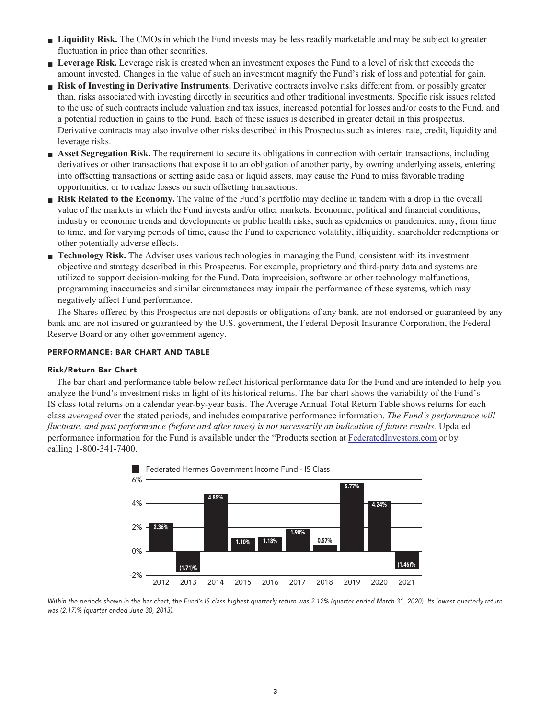- **■ Liquidity Risk. The CMOs in which the Fund invests may be less readily marketable and may be subject to greater fluctuation in price than other securities.**
- **Leverage Risk.** Leverage risk is created when an investment exposes the Fund to a level of risk that exceeds the **amount invested. Changes in the value of such an investment magnify the Fund's risk of loss and potential for gain.**
- **Risk of Investing in Derivative Instruments.** Derivative contracts involve risks different from, or possibly greater **than, risks associated with investing directly in securities and other traditional investments. Specific risk issues related to the use of such contracts include valuation and tax issues, increased potential for losses and/or costs to the Fund, and a potential reduction in gains to the Fund. Each of these issues is described in greater detail in this prospectus. Derivative contracts may also involve other risks described in this Prospectus such as interest rate, credit, liquidity and leverage risks.**
- **■ Asset Segregation Risk. The requirement to secure its obligations in connection with certain transactions, including derivatives or other transactions that expose it to an obligation of another party, by owning underlying assets, entering into offsetting transactions or setting aside cash or liquid assets, may cause the Fund to miss favorable trading opportunities, or to realize losses on such offsetting transactions.**
- **Risk Related to the Economy.** The value of the Fund's portfolio may decline in tandem with a drop in the overall **value of the markets in which the Fund invests and/or other markets. Economic, political and financial conditions, industry or economic trends and developments or public health risks, such as epidemics or pandemics, may, from time to time, and for varying periods of time, cause the Fund to experience volatility, illiquidity, shareholder redemptions or other potentially adverse effects.**
- **■ Technology Risk. The Adviser uses various technologies in managing the Fund, consistent with its investment objective and strategy described in this Prospectus. For example, proprietary and third-party data and systems are utilized to support decision-making for the Fund. Data imprecision, software or other technology malfunctions, programming inaccuracies and similar circumstances may impair the performance of these systems, which may negatively affect Fund performance.**

**The Shares offered by this Prospectus are not deposits or obligations of any bank, are not endorsed or guaranteed by any bank and are not insured or guaranteed by the U.S. government, the Federal Deposit Insurance Corporation, the Federal Reserve Board or any other government agency.**

#### **PERFORMANCE: BAR CHART AND TABLE**

#### **Risk/Return Bar Chart**

**The bar chart and performance table below reflect historical performance data for the Fund and are intended to help you analyze the Fund's investment risks in light of its historical returns. The bar chart shows the variability of the Fund's IS class total returns on a calendar year-by-year basis. The Average Annual Total Return Table shows returns for each class** *averaged* **over the stated periods, and includes comparative performance information.** *The Fund's performance will fluctuate, and past performance (before and after taxes) is not necessarily an indication of future results.* **Updated performance information for the Fund is available under the "Products section at [FederatedInvestors.com](https://www.federatedinvestors.com/home.do) or by calling 1-800-341-7400.**



**Within the periods shown in the bar chart, the Fund's IS class highest quarterly return was 2.12% (quarter ended March 31, 2020). Its lowest quarterly return was (2.17)% (quarter ended June 30, 2013).**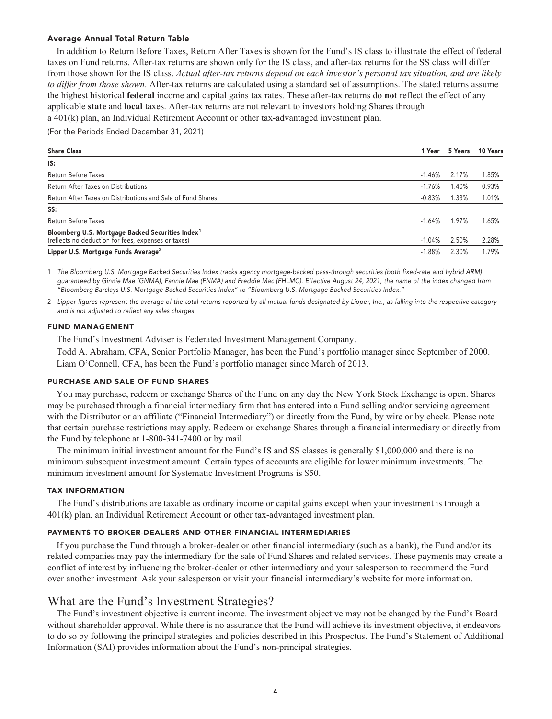#### **Average Annual Total Return Table**

**In addition to Return Before Taxes, Return After Taxes is shown for the Fund's IS class to illustrate the effect of federal taxes on Fund returns. After-tax returns are shown only for the IS class, and after-tax returns for the SS class will differ from those shown for the IS class.** *Actual after-tax returns depend on each investor's personal tax situation, and are likely to differ from those shown***. After-tax returns are calculated using a standard set of assumptions. The stated returns assume the highest historical federal income and capital gains tax rates. These after-tax returns do not reflect the effect of any applicable state and local taxes. After-tax returns are not relevant to investors holding Shares through a 401(k) plan, an Individual Retirement Account or other tax-advantaged investment plan.**

**(For the Periods Ended December 31, 2021)**

| <b>Share Class</b>                                                                                                  | 1 Year   |          | 5 Years 10 Years |
|---------------------------------------------------------------------------------------------------------------------|----------|----------|------------------|
| IS:                                                                                                                 |          |          |                  |
| Return Before Taxes                                                                                                 | $-1.46%$ | 2.17%    | 1.85%            |
| Return After Taxes on Distributions                                                                                 | $-1.76%$ | .40%     | 0.93%            |
| Return After Taxes on Distributions and Sale of Fund Shares                                                         | $-0.83%$ | $1.33\%$ | 1.01%            |
| SS:                                                                                                                 |          |          |                  |
| Return Before Taxes                                                                                                 | $-1.64%$ | 1.97%    | 1.65%            |
| Bloomberg U.S. Mortgage Backed Securities Index <sup>1</sup><br>(reflects no deduction for fees, expenses or taxes) | $-1.04%$ | 2.50%    | 2.28%            |
| Lipper U.S. Mortgage Funds Average <sup>2</sup>                                                                     | $-1.88%$ | 2.30%    | 1.79%            |

**1 The Bloomberg U.S. Mortgage Backed Securities Index tracks agency mortgage-backed pass-through securities (both fixed-rate and hybrid ARM) guaranteed by Ginnie Mae (GNMA), Fannie Mae (FNMA) and Freddie Mac (FHLMC). Effective August 24, 2021, the name of the index changed from "Bloomberg Barclays U.S. Mortgage Backed Securities Index" to "Bloomberg U.S. Mortgage Backed Securities Index."**

**2 Lipper figures represent the average of the total returns reported by all mutual funds designated by Lipper, Inc., as falling into the respective category and is not adjusted to reflect any sales charges.**

#### **FUND MANAGEMENT**

**The Fund's Investment Adviser is Federated Investment Management Company.**

**Todd A. Abraham, CFA, Senior Portfolio Manager, has been the Fund's portfolio manager since September of 2000. Liam O'Connell, CFA, has been the Fund's portfolio manager since March of 2013.**

#### **PURCHASE AND SALE OF FUND SHARES**

**You may purchase, redeem or exchange Shares of the Fund on any day the New York Stock Exchange is open. Shares may be purchased through a financial intermediary firm that has entered into a Fund selling and/or servicing agreement with the Distributor or an affiliate ("Financial Intermediary") or directly from the Fund, by wire or by check. Please note that certain purchase restrictions may apply. Redeem or exchange Shares through a financial intermediary or directly from the Fund by telephone at 1-800-341-7400 or by mail.**

**The minimum initial investment amount for the Fund's IS and SS classes is generally \$1,000,000 and there is no minimum subsequent investment amount. Certain types of accounts are eligible for lower minimum investments. The minimum investment amount for Systematic Investment Programs is \$50.**

#### **TAX INFORMATION**

**The Fund's distributions are taxable as ordinary income or capital gains except when your investment is through a 401(k) plan, an Individual Retirement Account or other tax-advantaged investment plan.**

#### **PAYMENTS TO BROKER-DEALERS AND OTHER FINANCIAL INTERMEDIARIES**

**If you purchase the Fund through a broker-dealer or other financial intermediary (such as a bank), the Fund and/or its related companies may pay the intermediary for the sale of Fund Shares and related services. These payments may create a conflict of interest by influencing the broker-dealer or other intermediary and your salesperson to recommend the Fund over another investment. Ask your salesperson or visit your financial intermediary's website for more information.**

### **What are the Fund's Investment Strategies?**

**The Fund's investment objective is current income. The investment objective may not be changed by the Fund's Board without shareholder approval. While there is no assurance that the Fund will achieve its investment objective, it endeavors to do so by following the principal strategies and policies described in this Prospectus. The Fund's Statement of Additional Information (SAI) provides information about the Fund's non-principal strategies.**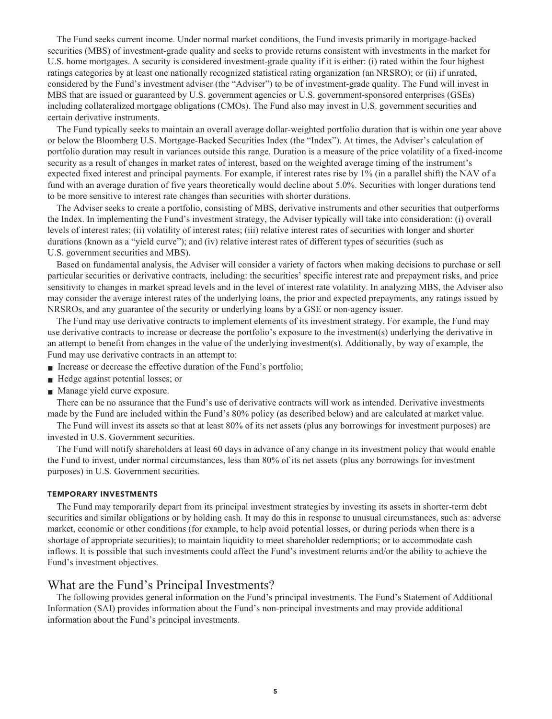**The Fund seeks current income. Under normal market conditions, the Fund invests primarily in mortgage-backed securities (MBS) of investment-grade quality and seeks to provide returns consistent with investments in the market for U.S. home mortgages. A security is considered investment-grade quality if it is either: (i) rated within the four highest ratings categories by at least one nationally recognized statistical rating organization (an NRSRO); or (ii) if unrated, considered by the Fund's investment adviser (the "Adviser") to be of investment-grade quality. The Fund will invest in MBS that are issued or guaranteed by U.S. government agencies or U.S. government-sponsored enterprises (GSEs) including collateralized mortgage obligations (CMOs). The Fund also may invest in U.S. government securities and certain derivative instruments.**

**The Fund typically seeks to maintain an overall average dollar-weighted portfolio duration that is within one year above or below the Bloomberg U.S. Mortgage-Backed Securities Index (the "Index"). At times, the Adviser's calculation of portfolio duration may result in variances outside this range. Duration is a measure of the price volatility of a fixed-income security as a result of changes in market rates of interest, based on the weighted average timing of the instrument's expected fixed interest and principal payments. For example, if interest rates rise by 1% (in a parallel shift) the NAV of a fund with an average duration of five years theoretically would decline about 5.0%. Securities with longer durations tend to be more sensitive to interest rate changes than securities with shorter durations.**

**The Adviser seeks to create a portfolio, consisting of MBS, derivative instruments and other securities that outperforms the Index. In implementing the Fund's investment strategy, the Adviser typically will take into consideration: (i) overall levels of interest rates; (ii) volatility of interest rates; (iii) relative interest rates of securities with longer and shorter durations (known as a "yield curve"); and (iv) relative interest rates of different types of securities (such as U.S. government securities and MBS).**

**Based on fundamental analysis, the Adviser will consider a variety of factors when making decisions to purchase or sell particular securities or derivative contracts, including: the securities' specific interest rate and prepayment risks, and price sensitivity to changes in market spread levels and in the level of interest rate volatility. In analyzing MBS, the Adviser also may consider the average interest rates of the underlying loans, the prior and expected prepayments, any ratings issued by NRSROs, and any guarantee of the security or underlying loans by a GSE or non-agency issuer.**

**The Fund may use derivative contracts to implement elements of its investment strategy. For example, the Fund may use derivative contracts to increase or decrease the portfolio's exposure to the investment(s) underlying the derivative in an attempt to benefit from changes in the value of the underlying investment(s). Additionally, by way of example, the Fund may use derivative contracts in an attempt to:**

- **Increase or decrease the effective duration of the Fund's portfolio;**
- **■ Hedge against potential losses; or**
- **■ Manage yield curve exposure.**

**There can be no assurance that the Fund's use of derivative contracts will work as intended. Derivative investments made by the Fund are included within the Fund's 80% policy (as described below) and are calculated at market value.**

**The Fund will invest its assets so that at least 80% of its net assets (plus any borrowings for investment purposes) are invested in U.S. Government securities.**

**The Fund will notify shareholders at least 60 days in advance of any change in its investment policy that would enable the Fund to invest, under normal circumstances, less than 80% of its net assets (plus any borrowings for investment purposes) in U.S. Government securities.**

#### **TEMPORARY INVESTMENTS**

**The Fund may temporarily depart from its principal investment strategies by investing its assets in shorter-term debt securities and similar obligations or by holding cash. It may do this in response to unusual circumstances, such as: adverse market, economic or other conditions (for example, to help avoid potential losses, or during periods when there is a shortage of appropriate securities); to maintain liquidity to meet shareholder redemptions; or to accommodate cash inflows. It is possible that such investments could affect the Fund's investment returns and/or the ability to achieve the Fund's investment objectives.**

# **What are the Fund's Principal Investments?**

**The following provides general information on the Fund's principal investments. The Fund's Statement of Additional Information (SAI) provides information about the Fund's non-principal investments and may provide additional information about the Fund's principal investments.**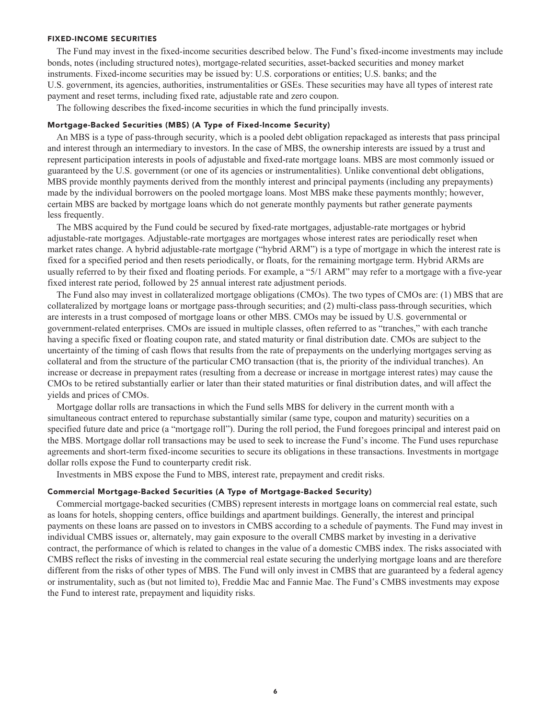#### **FIXED-INCOME SECURITIES**

**The Fund may invest in the fixed-income securities described below. The Fund's fixed-income investments may include bonds, notes (including structured notes), mortgage-related securities, asset-backed securities and money market instruments. Fixed-income securities may be issued by: U.S. corporations or entities; U.S. banks; and the U.S. government, its agencies, authorities, instrumentalities or GSEs. These securities may have all types of interest rate payment and reset terms, including fixed rate, adjustable rate and zero coupon.**

**The following describes the fixed-income securities in which the fund principally invests.**

#### **Mortgage-Backed Securities (MBS) (A Type of Fixed-Income Security)**

**An MBS is a type of pass-through security, which is a pooled debt obligation repackaged as interests that pass principal and interest through an intermediary to investors. In the case of MBS, the ownership interests are issued by a trust and represent participation interests in pools of adjustable and fixed-rate mortgage loans. MBS are most commonly issued or guaranteed by the U.S. government (or one of its agencies or instrumentalities). Unlike conventional debt obligations, MBS provide monthly payments derived from the monthly interest and principal payments (including any prepayments) made by the individual borrowers on the pooled mortgage loans. Most MBS make these payments monthly; however, certain MBS are backed by mortgage loans which do not generate monthly payments but rather generate payments less frequently.**

**The MBS acquired by the Fund could be secured by fixed-rate mortgages, adjustable-rate mortgages or hybrid adjustable-rate mortgages. Adjustable-rate mortgages are mortgages whose interest rates are periodically reset when market rates change. A hybrid adjustable-rate mortgage ("hybrid ARM") is a type of mortgage in which the interest rate is fixed for a specified period and then resets periodically, or floats, for the remaining mortgage term. Hybrid ARMs are usually referred to by their fixed and floating periods. For example, a "5/1 ARM" may refer to a mortgage with a five-year fixed interest rate period, followed by 25 annual interest rate adjustment periods.**

**The Fund also may invest in collateralized mortgage obligations (CMOs). The two types of CMOs are: (1) MBS that are collateralized by mortgage loans or mortgage pass-through securities; and (2) multi-class pass-through securities, which are interests in a trust composed of mortgage loans or other MBS. CMOs may be issued by U.S. governmental or government-related enterprises. CMOs are issued in multiple classes, often referred to as "tranches," with each tranche having a specific fixed or floating coupon rate, and stated maturity or final distribution date. CMOs are subject to the uncertainty of the timing of cash flows that results from the rate of prepayments on the underlying mortgages serving as collateral and from the structure of the particular CMO transaction (that is, the priority of the individual tranches). An increase or decrease in prepayment rates (resulting from a decrease or increase in mortgage interest rates) may cause the CMOs to be retired substantially earlier or later than their stated maturities or final distribution dates, and will affect the yields and prices of CMOs.**

**Mortgage dollar rolls are transactions in which the Fund sells MBS for delivery in the current month with a simultaneous contract entered to repurchase substantially similar (same type, coupon and maturity) securities on a specified future date and price (a "mortgage roll"). During the roll period, the Fund foregoes principal and interest paid on the MBS. Mortgage dollar roll transactions may be used to seek to increase the Fund's income. The Fund uses repurchase agreements and short-term fixed-income securities to secure its obligations in these transactions. Investments in mortgage dollar rolls expose the Fund to counterparty credit risk.**

**Investments in MBS expose the Fund to MBS, interest rate, prepayment and credit risks.**

#### **Commercial Mortgage-Backed Securities (A Type of Mortgage-Backed Security)**

**Commercial mortgage-backed securities (CMBS) represent interests in mortgage loans on commercial real estate, such as loans for hotels, shopping centers, office buildings and apartment buildings. Generally, the interest and principal payments on these loans are passed on to investors in CMBS according to a schedule of payments. The Fund may invest in individual CMBS issues or, alternately, may gain exposure to the overall CMBS market by investing in a derivative contract, the performance of which is related to changes in the value of a domestic CMBS index. The risks associated with CMBS reflect the risks of investing in the commercial real estate securing the underlying mortgage loans and are therefore different from the risks of other types of MBS. The Fund will only invest in CMBS that are guaranteed by a federal agency or instrumentality, such as (but not limited to), Freddie Mac and Fannie Mae. The Fund's CMBS investments may expose the Fund to interest rate, prepayment and liquidity risks.**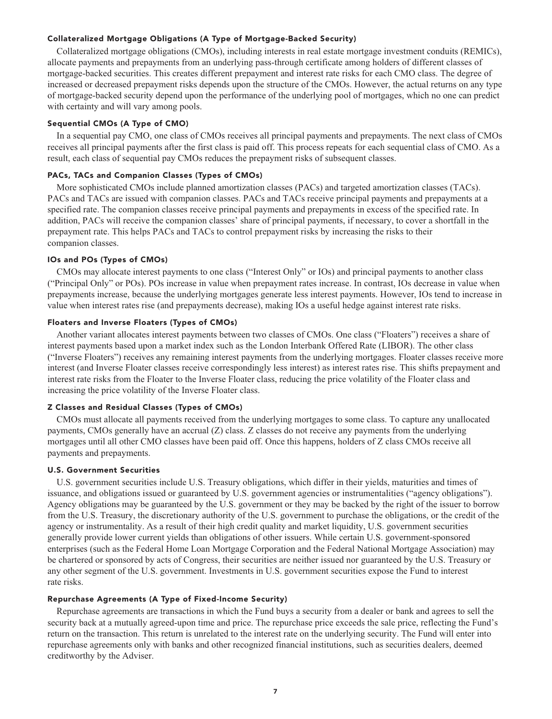#### **Collateralized Mortgage Obligations (A Type of Mortgage-Backed Security)**

**Collateralized mortgage obligations (CMOs), including interests in real estate mortgage investment conduits (REMICs), allocate payments and prepayments from an underlying pass-through certificate among holders of different classes of mortgage-backed securities. This creates different prepayment and interest rate risks for each CMO class. The degree of increased or decreased prepayment risks depends upon the structure of the CMOs. However, the actual returns on any type of mortgage-backed security depend upon the performance of the underlying pool of mortgages, which no one can predict with certainty and will vary among pools.**

#### **Sequential CMOs (A Type of CMO)**

**In a sequential pay CMO, one class of CMOs receives all principal payments and prepayments. The next class of CMOs receives all principal payments after the first class is paid off. This process repeats for each sequential class of CMO. As a result, each class of sequential pay CMOs reduces the prepayment risks of subsequent classes.**

#### **PACs, TACs and Companion Classes (Types of CMOs)**

**More sophisticated CMOs include planned amortization classes (PACs) and targeted amortization classes (TACs). PACs and TACs are issued with companion classes. PACs and TACs receive principal payments and prepayments at a specified rate. The companion classes receive principal payments and prepayments in excess of the specified rate. In addition, PACs will receive the companion classes' share of principal payments, if necessary, to cover a shortfall in the prepayment rate. This helps PACs and TACs to control prepayment risks by increasing the risks to their companion classes.**

#### **IOs and POs (Types of CMOs)**

**CMOs may allocate interest payments to one class ("Interest Only" or IOs) and principal payments to another class ("Principal Only" or POs). POs increase in value when prepayment rates increase. In contrast, IOs decrease in value when prepayments increase, because the underlying mortgages generate less interest payments. However, IOs tend to increase in value when interest rates rise (and prepayments decrease), making IOs a useful hedge against interest rate risks.**

#### **Floaters and Inverse Floaters (Types of CMOs)**

**Another variant allocates interest payments between two classes of CMOs. One class ("Floaters") receives a share of interest payments based upon a market index such as the London Interbank Offered Rate (LIBOR). The other class ("Inverse Floaters") receives any remaining interest payments from the underlying mortgages. Floater classes receive more interest (and Inverse Floater classes receive correspondingly less interest) as interest rates rise. This shifts prepayment and interest rate risks from the Floater to the Inverse Floater class, reducing the price volatility of the Floater class and increasing the price volatility of the Inverse Floater class.**

#### **Z Classes and Residual Classes (Types of CMOs)**

**CMOs must allocate all payments received from the underlying mortgages to some class. To capture any unallocated payments, CMOs generally have an accrual (Z) class. Z classes do not receive any payments from the underlying mortgages until all other CMO classes have been paid off. Once this happens, holders of Z class CMOs receive all payments and prepayments.**

#### **U.S. Government Securities**

**U.S. government securities include U.S. Treasury obligations, which differ in their yields, maturities and times of issuance, and obligations issued or guaranteed by U.S. government agencies or instrumentalities ("agency obligations"). Agency obligations may be guaranteed by the U.S. government or they may be backed by the right of the issuer to borrow from the U.S. Treasury, the discretionary authority of the U.S. government to purchase the obligations, or the credit of the agency or instrumentality. As a result of their high credit quality and market liquidity, U.S. government securities generally provide lower current yields than obligations of other issuers. While certain U.S. government-sponsored enterprises (such as the Federal Home Loan Mortgage Corporation and the Federal National Mortgage Association) may be chartered or sponsored by acts of Congress, their securities are neither issued nor guaranteed by the U.S. Treasury or any other segment of the U.S. government. Investments in U.S. government securities expose the Fund to interest rate risks.**

#### **Repurchase Agreements (A Type of Fixed-Income Security)**

**Repurchase agreements are transactions in which the Fund buys a security from a dealer or bank and agrees to sell the security back at a mutually agreed-upon time and price. The repurchase price exceeds the sale price, reflecting the Fund's return on the transaction. This return is unrelated to the interest rate on the underlying security. The Fund will enter into repurchase agreements only with banks and other recognized financial institutions, such as securities dealers, deemed creditworthy by the Adviser.**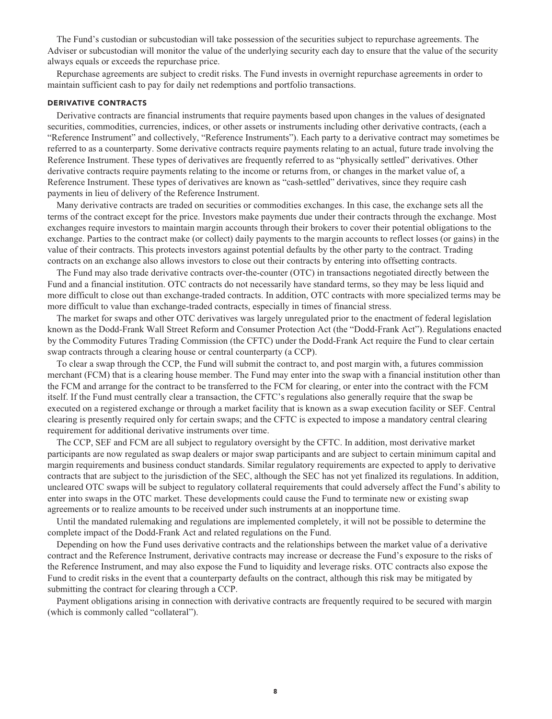**The Fund's custodian or subcustodian will take possession of the securities subject to repurchase agreements. The Adviser or subcustodian will monitor the value of the underlying security each day to ensure that the value of the security always equals or exceeds the repurchase price.**

**Repurchase agreements are subject to credit risks. The Fund invests in overnight repurchase agreements in order to maintain sufficient cash to pay for daily net redemptions and portfolio transactions.**

#### **DERIVATIVE CONTRACTS**

**Derivative contracts are financial instruments that require payments based upon changes in the values of designated securities, commodities, currencies, indices, or other assets or instruments including other derivative contracts, (each a "Reference Instrument" and collectively, "Reference Instruments"). Each party to a derivative contract may sometimes be referred to as a counterparty. Some derivative contracts require payments relating to an actual, future trade involving the Reference Instrument. These types of derivatives are frequently referred to as "physically settled" derivatives. Other derivative contracts require payments relating to the income or returns from, or changes in the market value of, a Reference Instrument. These types of derivatives are known as "cash-settled" derivatives, since they require cash payments in lieu of delivery of the Reference Instrument.**

**Many derivative contracts are traded on securities or commodities exchanges. In this case, the exchange sets all the terms of the contract except for the price. Investors make payments due under their contracts through the exchange. Most exchanges require investors to maintain margin accounts through their brokers to cover their potential obligations to the exchange. Parties to the contract make (or collect) daily payments to the margin accounts to reflect losses (or gains) in the value of their contracts. This protects investors against potential defaults by the other party to the contract. Trading contracts on an exchange also allows investors to close out their contracts by entering into offsetting contracts.**

**The Fund may also trade derivative contracts over-the-counter (OTC) in transactions negotiated directly between the Fund and a financial institution. OTC contracts do not necessarily have standard terms, so they may be less liquid and more difficult to close out than exchange-traded contracts. In addition, OTC contracts with more specialized terms may be more difficult to value than exchange-traded contracts, especially in times of financial stress.**

**The market for swaps and other OTC derivatives was largely unregulated prior to the enactment of federal legislation known as the Dodd-Frank Wall Street Reform and Consumer Protection Act (the "Dodd-Frank Act"). Regulations enacted by the Commodity Futures Trading Commission (the CFTC) under the Dodd-Frank Act require the Fund to clear certain swap contracts through a clearing house or central counterparty (a CCP).**

**To clear a swap through the CCP, the Fund will submit the contract to, and post margin with, a futures commission merchant (FCM) that is a clearing house member. The Fund may enter into the swap with a financial institution other than the FCM and arrange for the contract to be transferred to the FCM for clearing, or enter into the contract with the FCM itself. If the Fund must centrally clear a transaction, the CFTC's regulations also generally require that the swap be executed on a registered exchange or through a market facility that is known as a swap execution facility or SEF. Central clearing is presently required only for certain swaps; and the CFTC is expected to impose a mandatory central clearing requirement for additional derivative instruments over time.**

**The CCP, SEF and FCM are all subject to regulatory oversight by the CFTC. In addition, most derivative market participants are now regulated as swap dealers or major swap participants and are subject to certain minimum capital and margin requirements and business conduct standards. Similar regulatory requirements are expected to apply to derivative contracts that are subject to the jurisdiction of the SEC, although the SEC has not yet finalized its regulations. In addition, uncleared OTC swaps will be subject to regulatory collateral requirements that could adversely affect the Fund's ability to enter into swaps in the OTC market. These developments could cause the Fund to terminate new or existing swap agreements or to realize amounts to be received under such instruments at an inopportune time.**

**Until the mandated rulemaking and regulations are implemented completely, it will not be possible to determine the complete impact of the Dodd-Frank Act and related regulations on the Fund.**

**Depending on how the Fund uses derivative contracts and the relationships between the market value of a derivative contract and the Reference Instrument, derivative contracts may increase or decrease the Fund's exposure to the risks of the Reference Instrument, and may also expose the Fund to liquidity and leverage risks. OTC contracts also expose the Fund to credit risks in the event that a counterparty defaults on the contract, although this risk may be mitigated by submitting the contract for clearing through a CCP.**

**Payment obligations arising in connection with derivative contracts are frequently required to be secured with margin (which is commonly called "collateral").**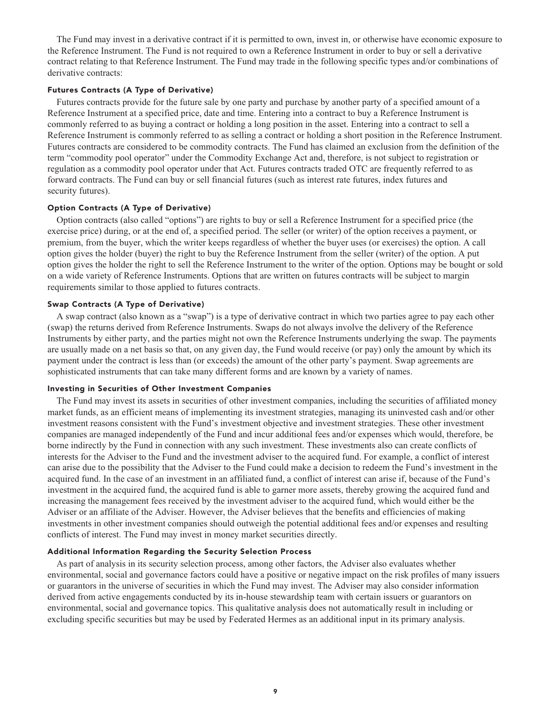**The Fund may invest in a derivative contract if it is permitted to own, invest in, or otherwise have economic exposure to the Reference Instrument. The Fund is not required to own a Reference Instrument in order to buy or sell a derivative contract relating to that Reference Instrument. The Fund may trade in the following specific types and/or combinations of derivative contracts:**

#### **Futures Contracts (A Type of Derivative)**

**Futures contracts provide for the future sale by one party and purchase by another party of a specified amount of a Reference Instrument at a specified price, date and time. Entering into a contract to buy a Reference Instrument is commonly referred to as buying a contract or holding a long position in the asset. Entering into a contract to sell a Reference Instrument is commonly referred to as selling a contract or holding a short position in the Reference Instrument. Futures contracts are considered to be commodity contracts. The Fund has claimed an exclusion from the definition of the term "commodity pool operator" under the Commodity Exchange Act and, therefore, is not subject to registration or regulation as a commodity pool operator under that Act. Futures contracts traded OTC are frequently referred to as forward contracts. The Fund can buy or sell financial futures (such as interest rate futures, index futures and security futures).**

#### **Option Contracts (A Type of Derivative)**

**Option contracts (also called "options") are rights to buy or sell a Reference Instrument for a specified price (the exercise price) during, or at the end of, a specified period. The seller (or writer) of the option receives a payment, or premium, from the buyer, which the writer keeps regardless of whether the buyer uses (or exercises) the option. A call option gives the holder (buyer) the right to buy the Reference Instrument from the seller (writer) of the option. A put option gives the holder the right to sell the Reference Instrument to the writer of the option. Options may be bought or sold on a wide variety of Reference Instruments. Options that are written on futures contracts will be subject to margin requirements similar to those applied to futures contracts.**

#### **Swap Contracts (A Type of Derivative)**

**A swap contract (also known as a "swap") is a type of derivative contract in which two parties agree to pay each other (swap) the returns derived from Reference Instruments. Swaps do not always involve the delivery of the Reference Instruments by either party, and the parties might not own the Reference Instruments underlying the swap. The payments are usually made on a net basis so that, on any given day, the Fund would receive (or pay) only the amount by which its payment under the contract is less than (or exceeds) the amount of the other party's payment. Swap agreements are sophisticated instruments that can take many different forms and are known by a variety of names.**

#### **Investing in Securities of Other Investment Companies**

**The Fund may invest its assets in securities of other investment companies, including the securities of affiliated money market funds, as an efficient means of implementing its investment strategies, managing its uninvested cash and/or other investment reasons consistent with the Fund's investment objective and investment strategies. These other investment companies are managed independently of the Fund and incur additional fees and/or expenses which would, therefore, be borne indirectly by the Fund in connection with any such investment. These investments also can create conflicts of interests for the Adviser to the Fund and the investment adviser to the acquired fund. For example, a conflict of interest can arise due to the possibility that the Adviser to the Fund could make a decision to redeem the Fund's investment in the acquired fund. In the case of an investment in an affiliated fund, a conflict of interest can arise if, because of the Fund's investment in the acquired fund, the acquired fund is able to garner more assets, thereby growing the acquired fund and increasing the management fees received by the investment adviser to the acquired fund, which would either be the Adviser or an affiliate of the Adviser. However, the Adviser believes that the benefits and efficiencies of making investments in other investment companies should outweigh the potential additional fees and/or expenses and resulting conflicts of interest. The Fund may invest in money market securities directly.**

#### **Additional Information Regarding the Security Selection Process**

**As part of analysis in its security selection process, among other factors, the Adviser also evaluates whether environmental, social and governance factors could have a positive or negative impact on the risk profiles of many issuers or guarantors in the universe of securities in which the Fund may invest. The Adviser may also consider information derived from active engagements conducted by its in-house stewardship team with certain issuers or guarantors on environmental, social and governance topics. This qualitative analysis does not automatically result in including or excluding specific securities but may be used by Federated Hermes as an additional input in its primary analysis.**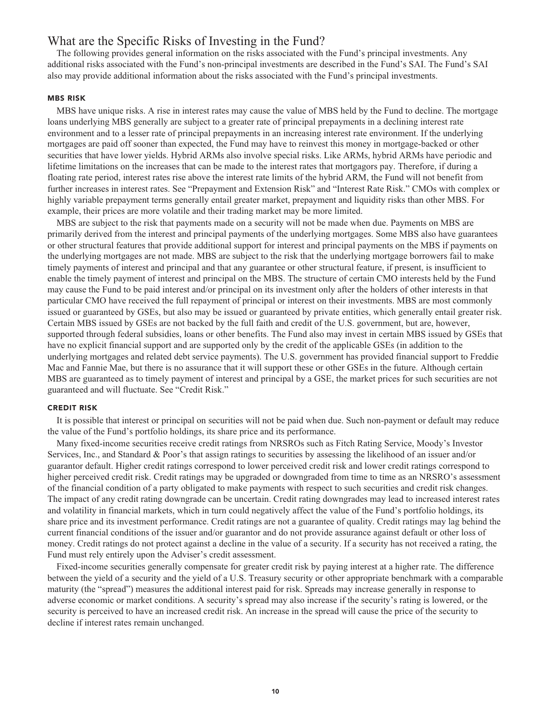## **What are the Specific Risks of Investing in the Fund?**

**The following provides general information on the risks associated with the Fund's principal investments. Any additional risks associated with the Fund's non-principal investments are described in the Fund's SAI. The Fund's SAI also may provide additional information about the risks associated with the Fund's principal investments.**

#### **MBS RISK**

**MBS have unique risks. A rise in interest rates may cause the value of MBS held by the Fund to decline. The mortgage loans underlying MBS generally are subject to a greater rate of principal prepayments in a declining interest rate environment and to a lesser rate of principal prepayments in an increasing interest rate environment. If the underlying mortgages are paid off sooner than expected, the Fund may have to reinvest this money in mortgage-backed or other securities that have lower yields. Hybrid ARMs also involve special risks. Like ARMs, hybrid ARMs have periodic and lifetime limitations on the increases that can be made to the interest rates that mortgagors pay. Therefore, if during a floating rate period, interest rates rise above the interest rate limits of the hybrid ARM, the Fund will not benefit from further increases in interest rates. See "Prepayment and Extension Risk" and "Interest Rate Risk." CMOs with complex or highly variable prepayment terms generally entail greater market, prepayment and liquidity risks than other MBS. For example, their prices are more volatile and their trading market may be more limited.**

**MBS are subject to the risk that payments made on a security will not be made when due. Payments on MBS are primarily derived from the interest and principal payments of the underlying mortgages. Some MBS also have guarantees or other structural features that provide additional support for interest and principal payments on the MBS if payments on the underlying mortgages are not made. MBS are subject to the risk that the underlying mortgage borrowers fail to make timely payments of interest and principal and that any guarantee or other structural feature, if present, is insufficient to enable the timely payment of interest and principal on the MBS. The structure of certain CMO interests held by the Fund may cause the Fund to be paid interest and/or principal on its investment only after the holders of other interests in that particular CMO have received the full repayment of principal or interest on their investments. MBS are most commonly issued or guaranteed by GSEs, but also may be issued or guaranteed by private entities, which generally entail greater risk. Certain MBS issued by GSEs are not backed by the full faith and credit of the U.S. government, but are, however, supported through federal subsidies, loans or other benefits. The Fund also may invest in certain MBS issued by GSEs that have no explicit financial support and are supported only by the credit of the applicable GSEs (in addition to the underlying mortgages and related debt service payments). The U.S. government has provided financial support to Freddie Mac and Fannie Mae, but there is no assurance that it will support these or other GSEs in the future. Although certain MBS are guaranteed as to timely payment of interest and principal by a GSE, the market prices for such securities are not guaranteed and will fluctuate. See "Credit Risk."**

#### **CREDIT RISK**

**It is possible that interest or principal on securities will not be paid when due. Such non-payment or default may reduce the value of the Fund's portfolio holdings, its share price and its performance.**

**Many fixed-income securities receive credit ratings from NRSROs such as Fitch Rating Service, Moody's Investor Services, Inc., and Standard & Poor's that assign ratings to securities by assessing the likelihood of an issuer and/or guarantor default. Higher credit ratings correspond to lower perceived credit risk and lower credit ratings correspond to higher perceived credit risk. Credit ratings may be upgraded or downgraded from time to time as an NRSRO's assessment of the financial condition of a party obligated to make payments with respect to such securities and credit risk changes. The impact of any credit rating downgrade can be uncertain. Credit rating downgrades may lead to increased interest rates and volatility in financial markets, which in turn could negatively affect the value of the Fund's portfolio holdings, its share price and its investment performance. Credit ratings are not a guarantee of quality. Credit ratings may lag behind the current financial conditions of the issuer and/or guarantor and do not provide assurance against default or other loss of money. Credit ratings do not protect against a decline in the value of a security. If a security has not received a rating, the Fund must rely entirely upon the Adviser's credit assessment.**

**Fixed-income securities generally compensate for greater credit risk by paying interest at a higher rate. The difference between the yield of a security and the yield of a U.S. Treasury security or other appropriate benchmark with a comparable maturity (the "spread") measures the additional interest paid for risk. Spreads may increase generally in response to adverse economic or market conditions. A security's spread may also increase if the security's rating is lowered, or the security is perceived to have an increased credit risk. An increase in the spread will cause the price of the security to decline if interest rates remain unchanged.**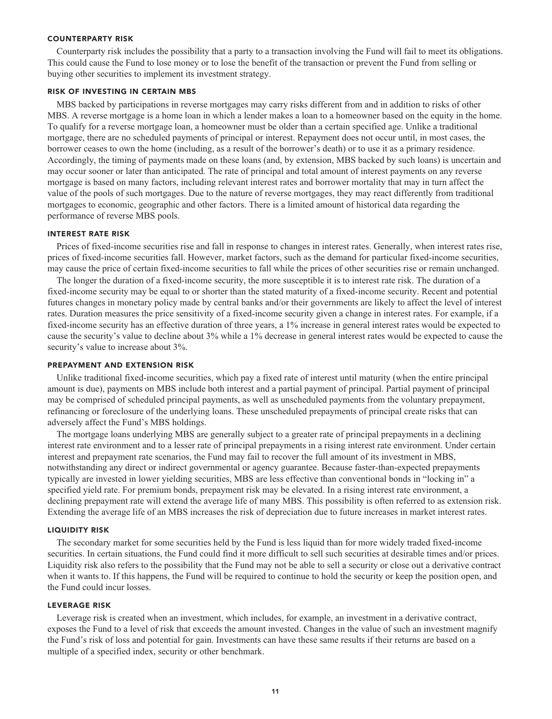#### **COUNTERPARTY RISK**

**Counterparty risk includes the possibility that a party to a transaction involving the Fund will fail to meet its obligations. This could cause the Fund to lose money or to lose the benefit of the transaction or prevent the Fund from selling or buying other securities to implement its investment strategy.**

#### **RISK OF INVESTING IN CERTAIN MBS**

**MBS backed by participations in reverse mortgages may carry risks different from and in addition to risks of other MBS. A reverse mortgage is a home loan in which a lender makes a loan to a homeowner based on the equity in the home. To qualify for a reverse mortgage loan, a homeowner must be older than a certain specified age. Unlike a traditional mortgage, there are no scheduled payments of principal or interest. Repayment does not occur until, in most cases, the borrower ceases to own the home (including, as a result of the borrower's death) or to use it as a primary residence. Accordingly, the timing of payments made on these loans (and, by extension, MBS backed by such loans) is uncertain and may occur sooner or later than anticipated. The rate of principal and total amount of interest payments on any reverse mortgage is based on many factors, including relevant interest rates and borrower mortality that may in turn affect the value of the pools of such mortgages. Due to the nature of reverse mortgages, they may react differently from traditional mortgages to economic, geographic and other factors. There is a limited amount of historical data regarding the performance of reverse MBS pools.**

#### **INTEREST RATE RISK**

**Prices of fixed-income securities rise and fall in response to changes in interest rates. Generally, when interest rates rise, prices of fixed-income securities fall. However, market factors, such as the demand for particular fixed-income securities, may cause the price of certain fixed-income securities to fall while the prices of other securities rise or remain unchanged.**

**The longer the duration of a fixed-income security, the more susceptible it is to interest rate risk. The duration of a fixed-income security may be equal to or shorter than the stated maturity of a fixed-income security. Recent and potential futures changes in monetary policy made by central banks and/or their governments are likely to affect the level of interest rates. Duration measures the price sensitivity of a fixed-income security given a change in interest rates. For example, if a fixed-income security has an effective duration of three years, a 1% increase in general interest rates would be expected to cause the security's value to decline about 3% while a 1% decrease in general interest rates would be expected to cause the security's value to increase about 3%.**

#### **PREPAYMENT AND EXTENSION RISK**

**Unlike traditional fixed-income securities, which pay a fixed rate of interest until maturity (when the entire principal amount is due), payments on MBS include both interest and a partial payment of principal. Partial payment of principal may be comprised of scheduled principal payments, as well as unscheduled payments from the voluntary prepayment, refinancing or foreclosure of the underlying loans. These unscheduled prepayments of principal create risks that can adversely affect the Fund's MBS holdings.**

**The mortgage loans underlying MBS are generally subject to a greater rate of principal prepayments in a declining interest rate environment and to a lesser rate of principal prepayments in a rising interest rate environment. Under certain interest and prepayment rate scenarios, the Fund may fail to recover the full amount of its investment in MBS, notwithstanding any direct or indirect governmental or agency guarantee. Because faster-than-expected prepayments typically are invested in lower yielding securities, MBS are less effective than conventional bonds in "locking in" a specified yield rate. For premium bonds, prepayment risk may be elevated. In a rising interest rate environment, a declining prepayment rate will extend the average life of many MBS. This possibility is often referred to as extension risk. Extending the average life of an MBS increases the risk of depreciation due to future increases in market interest rates.**

#### **LIQUIDITY RISK**

**The secondary market for some securities held by the Fund is less liquid than for more widely traded fixed-income securities. In certain situations, the Fund could find it more difficult to sell such securities at desirable times and/or prices. Liquidity risk also refers to the possibility that the Fund may not be able to sell a security or close out a derivative contract when it wants to. If this happens, the Fund will be required to continue to hold the security or keep the position open, and the Fund could incur losses.**

#### **LEVERAGE RISK**

**Leverage risk is created when an investment, which includes, for example, an investment in a derivative contract, exposes the Fund to a level of risk that exceeds the amount invested. Changes in the value of such an investment magnify the Fund's risk of loss and potential for gain. Investments can have these same results if their returns are based on a multiple of a specified index, security or other benchmark.**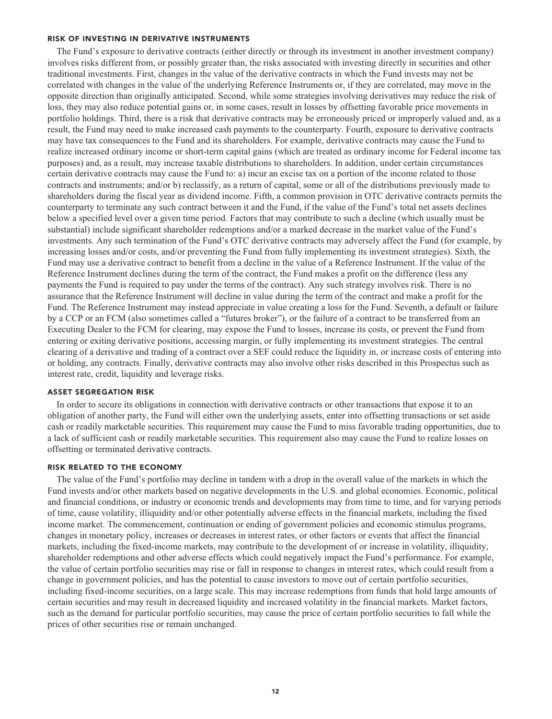#### **RISK OF INVESTING IN DERIVATIVE INSTRUMENTS**

**The Fund's exposure to derivative contracts (either directly or through its investment in another investment company) involves risks different from, or possibly greater than, the risks associated with investing directly in securities and other traditional investments. First, changes in the value of the derivative contracts in which the Fund invests may not be correlated with changes in the value of the underlying Reference Instruments or, if they are correlated, may move in the opposite direction than originally anticipated. Second, while some strategies involving derivatives may reduce the risk of loss, they may also reduce potential gains or, in some cases, result in losses by offsetting favorable price movements in portfolio holdings. Third, there is a risk that derivative contracts may be erroneously priced or improperly valued and, as a result, the Fund may need to make increased cash payments to the counterparty. Fourth, exposure to derivative contracts may have tax consequences to the Fund and its shareholders. For example, derivative contracts may cause the Fund to realize increased ordinary income or short-term capital gains (which are treated as ordinary income for Federal income tax purposes) and, as a result, may increase taxable distributions to shareholders. In addition, under certain circumstances certain derivative contracts may cause the Fund to: a) incur an excise tax on a portion of the income related to those contracts and instruments; and/or b) reclassify, as a return of capital, some or all of the distributions previously made to shareholders during the fiscal year as dividend income. Fifth, a common provision in OTC derivative contracts permits the counterparty to terminate any such contract between it and the Fund, if the value of the Fund's total net assets declines below a specified level over a given time period. Factors that may contribute to such a decline (which usually must be substantial) include significant shareholder redemptions and/or a marked decrease in the market value of the Fund's investments. Any such termination of the Fund's OTC derivative contracts may adversely affect the Fund (for example, by increasing losses and/or costs, and/or preventing the Fund from fully implementing its investment strategies). Sixth, the Fund may use a derivative contract to benefit from a decline in the value of a Reference Instrument. If the value of the Reference Instrument declines during the term of the contract, the Fund makes a profit on the difference (less any payments the Fund is required to pay under the terms of the contract). Any such strategy involves risk. There is no assurance that the Reference Instrument will decline in value during the term of the contract and make a profit for the Fund. The Reference Instrument may instead appreciate in value creating a loss for the Fund. Seventh, a default or failure by a CCP or an FCM (also sometimes called a "futures broker"), or the failure of a contract to be transferred from an Executing Dealer to the FCM for clearing, may expose the Fund to losses, increase its costs, or prevent the Fund from entering or exiting derivative positions, accessing margin, or fully implementing its investment strategies. The central clearing of a derivative and trading of a contract over a SEF could reduce the liquidity in, or increase costs of entering into or holding, any contracts. Finally, derivative contracts may also involve other risks described in this Prospectus such as interest rate, credit, liquidity and leverage risks.**

#### **ASSET SEGREGATION RISK**

**In order to secure its obligations in connection with derivative contracts or other transactions that expose it to an obligation of another party, the Fund will either own the underlying assets, enter into offsetting transactions or set aside cash or readily marketable securities. This requirement may cause the Fund to miss favorable trading opportunities, due to a lack of sufficient cash or readily marketable securities. This requirement also may cause the Fund to realize losses on offsetting or terminated derivative contracts.**

#### **RISK RELATED TO THE ECONOMY**

**The value of the Fund's portfolio may decline in tandem with a drop in the overall value of the markets in which the Fund invests and/or other markets based on negative developments in the U.S. and global economies. Economic, political and financial conditions, or industry or economic trends and developments may from time to time, and for varying periods of time, cause volatility, illiquidity and/or other potentially adverse effects in the financial markets, including the fixed income market. The commencement, continuation or ending of government policies and economic stimulus programs, changes in monetary policy, increases or decreases in interest rates, or other factors or events that affect the financial markets, including the fixed-income markets, may contribute to the development of or increase in volatility, illiquidity, shareholder redemptions and other adverse effects which could negatively impact the Fund's performance. For example, the value of certain portfolio securities may rise or fall in response to changes in interest rates, which could result from a change in government policies, and has the potential to cause investors to move out of certain portfolio securities, including fixed-income securities, on a large scale. This may increase redemptions from funds that hold large amounts of certain securities and may result in decreased liquidity and increased volatility in the financial markets. Market factors, such as the demand for particular portfolio securities, may cause the price of certain portfolio securities to fall while the prices of other securities rise or remain unchanged.**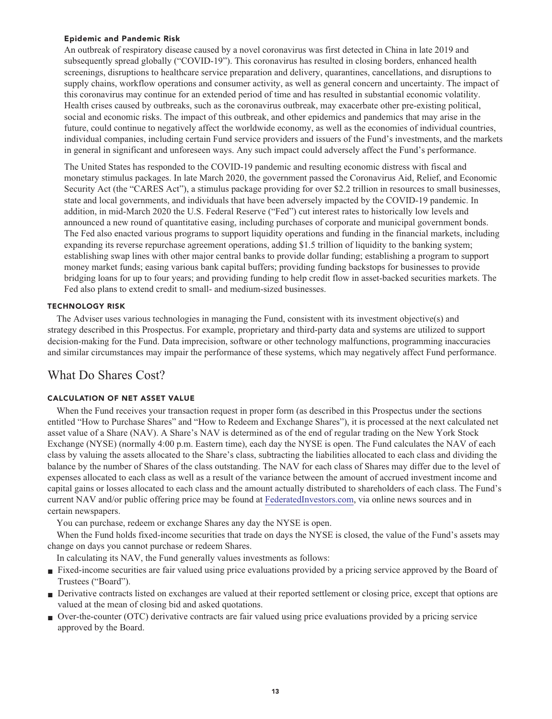#### **Epidemic and Pandemic Risk**

**An outbreak of respiratory disease caused by a novel coronavirus was first detected in China in late 2019 and subsequently spread globally ("COVID-19"). This coronavirus has resulted in closing borders, enhanced health screenings, disruptions to healthcare service preparation and delivery, quarantines, cancellations, and disruptions to supply chains, workflow operations and consumer activity, as well as general concern and uncertainty. The impact of this coronavirus may continue for an extended period of time and has resulted in substantial economic volatility. Health crises caused by outbreaks, such as the coronavirus outbreak, may exacerbate other pre-existing political, social and economic risks. The impact of this outbreak, and other epidemics and pandemics that may arise in the future, could continue to negatively affect the worldwide economy, as well as the economies of individual countries, individual companies, including certain Fund service providers and issuers of the Fund's investments, and the markets in general in significant and unforeseen ways. Any such impact could adversely affect the Fund's performance.**

**The United States has responded to the COVID-19 pandemic and resulting economic distress with fiscal and monetary stimulus packages. In late March 2020, the government passed the Coronavirus Aid, Relief, and Economic Security Act (the "CARES Act"), a stimulus package providing for over \$2.2 trillion in resources to small businesses, state and local governments, and individuals that have been adversely impacted by the COVID-19 pandemic. In addition, in mid-March 2020 the U.S. Federal Reserve ("Fed") cut interest rates to historically low levels and announced a new round of quantitative easing, including purchases of corporate and municipal government bonds. The Fed also enacted various programs to support liquidity operations and funding in the financial markets, including expanding its reverse repurchase agreement operations, adding \$1.5 trillion of liquidity to the banking system; establishing swap lines with other major central banks to provide dollar funding; establishing a program to support money market funds; easing various bank capital buffers; providing funding backstops for businesses to provide bridging loans for up to four years; and providing funding to help credit flow in asset-backed securities markets. The Fed also plans to extend credit to small- and medium-sized businesses.**

#### **TECHNOLOGY RISK**

**The Adviser uses various technologies in managing the Fund, consistent with its investment objective(s) and strategy described in this Prospectus. For example, proprietary and third-party data and systems are utilized to support decision-making for the Fund. Data imprecision, software or other technology malfunctions, programming inaccuracies and similar circumstances may impair the performance of these systems, which may negatively affect Fund performance.**

# **What Do Shares Cost?**

#### **CALCULATION OF NET ASSET VALUE**

**When the Fund receives your transaction request in proper form (as described in this Prospectus under the sections entitled "How to Purchase Shares" and "How to Redeem and Exchange Shares"), it is processed at the next calculated net asset value of a Share (NAV). A Share's NAV is determined as of the end of regular trading on the New York Stock Exchange (NYSE) (normally 4:00 p.m. Eastern time), each day the NYSE is open. The Fund calculates the NAV of each class by valuing the assets allocated to the Share's class, subtracting the liabilities allocated to each class and dividing the balance by the number of Shares of the class outstanding. The NAV for each class of Shares may differ due to the level of expenses allocated to each class as well as a result of the variance between the amount of accrued investment income and capital gains or losses allocated to each class and the amount actually distributed to shareholders of each class. The Fund's current NAV and/or public offering price may be found at [FederatedInvestors.com,](https://www.federatedinvestors.com/home.do) via online news sources and in certain newspapers.**

**You can purchase, redeem or exchange Shares any day the NYSE is open.**

**When the Fund holds fixed-income securities that trade on days the NYSE is closed, the value of the Fund's assets may change on days you cannot purchase or redeem Shares.**

**In calculating its NAV, the Fund generally values investments as follows:**

- **Fixed-income securities are fair valued using price evaluations provided by a pricing service approved by the Board of Trustees ("Board").**
- **■ Derivative contracts listed on exchanges are valued at their reported settlement or closing price, except that options are valued at the mean of closing bid and asked quotations.**
- **■ Over-the-counter (OTC) derivative contracts are fair valued using price evaluations provided by a pricing service approved by the Board.**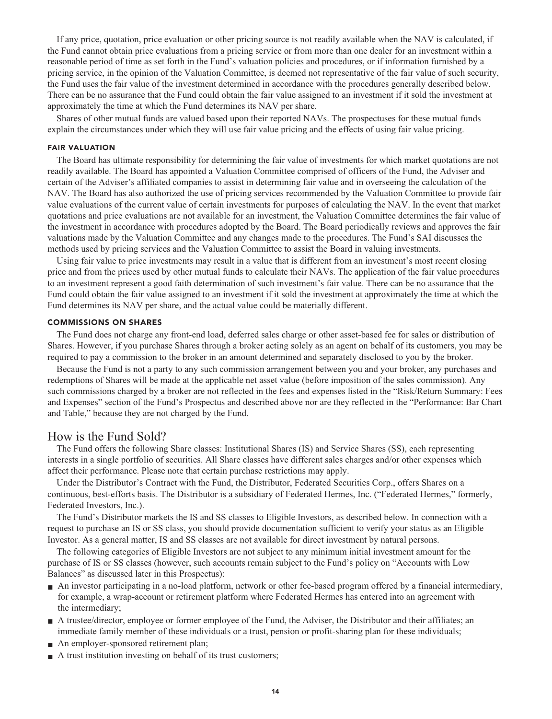**If any price, quotation, price evaluation or other pricing source is not readily available when the NAV is calculated, if the Fund cannot obtain price evaluations from a pricing service or from more than one dealer for an investment within a reasonable period of time as set forth in the Fund's valuation policies and procedures, or if information furnished by a pricing service, in the opinion of the Valuation Committee, is deemed not representative of the fair value of such security, the Fund uses the fair value of the investment determined in accordance with the procedures generally described below. There can be no assurance that the Fund could obtain the fair value assigned to an investment if it sold the investment at approximately the time at which the Fund determines its NAV per share.**

**Shares of other mutual funds are valued based upon their reported NAVs. The prospectuses for these mutual funds explain the circumstances under which they will use fair value pricing and the effects of using fair value pricing.**

#### **FAIR VALUATION**

**The Board has ultimate responsibility for determining the fair value of investments for which market quotations are not readily available. The Board has appointed a Valuation Committee comprised of officers of the Fund, the Adviser and certain of the Adviser's affiliated companies to assist in determining fair value and in overseeing the calculation of the NAV. The Board has also authorized the use of pricing services recommended by the Valuation Committee to provide fair value evaluations of the current value of certain investments for purposes of calculating the NAV. In the event that market quotations and price evaluations are not available for an investment, the Valuation Committee determines the fair value of the investment in accordance with procedures adopted by the Board. The Board periodically reviews and approves the fair valuations made by the Valuation Committee and any changes made to the procedures. The Fund's SAI discusses the methods used by pricing services and the Valuation Committee to assist the Board in valuing investments.**

**Using fair value to price investments may result in a value that is different from an investment's most recent closing price and from the prices used by other mutual funds to calculate their NAVs. The application of the fair value procedures to an investment represent a good faith determination of such investment's fair value. There can be no assurance that the Fund could obtain the fair value assigned to an investment if it sold the investment at approximately the time at which the Fund determines its NAV per share, and the actual value could be materially different.**

#### **COMMISSIONS ON SHARES**

**The Fund does not charge any front-end load, deferred sales charge or other asset-based fee for sales or distribution of Shares. However, if you purchase Shares through a broker acting solely as an agent on behalf of its customers, you may be required to pay a commission to the broker in an amount determined and separately disclosed to you by the broker.**

**Because the Fund is not a party to any such commission arrangement between you and your broker, any purchases and redemptions of Shares will be made at the applicable net asset value (before imposition of the sales commission). Any such commissions charged by a broker are not reflected in the fees and expenses listed in the "Risk/Return Summary: Fees and Expenses" section of the Fund's Prospectus and described above nor are they reflected in the "Performance: Bar Chart and Table," because they are not charged by the Fund.**

#### **How is the Fund Sold?**

**The Fund offers the following Share classes: Institutional Shares (IS) and Service Shares (SS), each representing interests in a single portfolio of securities. All Share classes have different sales charges and/or other expenses which affect their performance. Please note that certain purchase restrictions may apply.**

**Under the Distributor's Contract with the Fund, the Distributor, Federated Securities Corp., offers Shares on a continuous, best-efforts basis. The Distributor is a subsidiary of Federated Hermes, Inc. ("Federated Hermes," formerly, Federated Investors, Inc.).**

**The Fund's Distributor markets the IS and SS classes to Eligible Investors, as described below. In connection with a request to purchase an IS or SS class, you should provide documentation sufficient to verify your status as an Eligible Investor. As a general matter, IS and SS classes are not available for direct investment by natural persons.**

**The following categories of Eligible Investors are not subject to any minimum initial investment amount for the purchase of IS or SS classes (however, such accounts remain subject to the Fund's policy on "Accounts with Low Balances" as discussed later in this Prospectus):**

- **■ An investor participating in a no-load platform, network or other fee-based program offered by a financial intermediary, for example, a wrap-account or retirement platform where Federated Hermes has entered into an agreement with the intermediary;**
- **A** trustee/director, employee or former employee of the Fund, the Adviser, the Distributor and their affiliates; an **immediate family member of these individuals or a trust, pension or profit-sharing plan for these individuals;**
- **■ An employer-sponsored retirement plan;**
- **A** trust institution investing on behalf of its trust customers;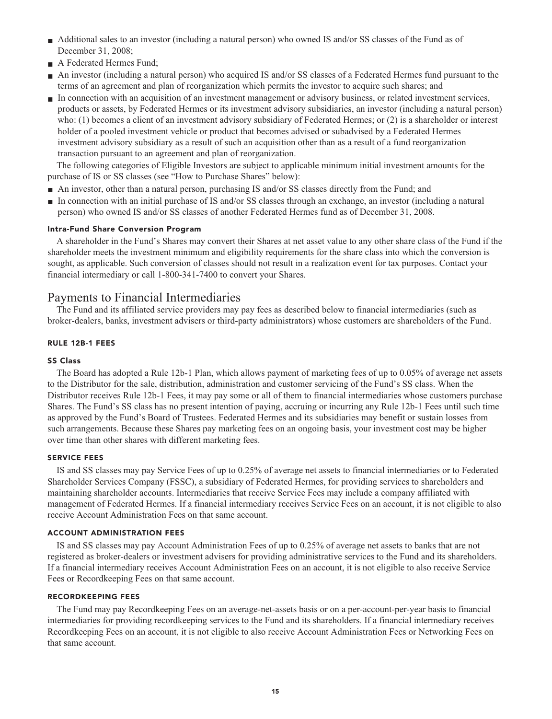- **■ Additional sales to an investor (including a natural person) who owned IS and/or SS classes of the Fund as of December 31, 2008;**
- **■ A Federated Hermes Fund;**
- **■ An investor (including a natural person) who acquired IS and/or SS classes of a Federated Hermes fund pursuant to the terms of an agreement and plan of reorganization which permits the investor to acquire such shares; and**
- **■ In connection with an acquisition of an investment management or advisory business, or related investment services, products or assets, by Federated Hermes or its investment advisory subsidiaries, an investor (including a natural person) who: (1) becomes a client of an investment advisory subsidiary of Federated Hermes; or (2) is a shareholder or interest holder of a pooled investment vehicle or product that becomes advised or subadvised by a Federated Hermes investment advisory subsidiary as a result of such an acquisition other than as a result of a fund reorganization transaction pursuant to an agreement and plan of reorganization.**

**The following categories of Eligible Investors are subject to applicable minimum initial investment amounts for the purchase of IS or SS classes (see "How to Purchase Shares" below):**

- **■ An investor, other than a natural person, purchasing IS and/or SS classes directly from the Fund; and**
- **■ In connection with an initial purchase of IS and/or SS classes through an exchange, an investor (including a natural person) who owned IS and/or SS classes of another Federated Hermes fund as of December 31, 2008.**

#### **Intra-Fund Share Conversion Program**

**A shareholder in the Fund's Shares may convert their Shares at net asset value to any other share class of the Fund if the shareholder meets the investment minimum and eligibility requirements for the share class into which the conversion is sought, as applicable. Such conversion of classes should not result in a realization event for tax purposes. Contact your financial intermediary or call 1-800-341-7400 to convert your Shares.**

## **Payments to Financial Intermediaries**

**The Fund and its affiliated service providers may pay fees as described below to financial intermediaries (such as broker-dealers, banks, investment advisers or third-party administrators) whose customers are shareholders of the Fund.**

#### **RULE 12B-1 FEES**

#### **SS Class**

**The Board has adopted a Rule 12b-1 Plan, which allows payment of marketing fees of up to 0.05% of average net assets to the Distributor for the sale, distribution, administration and customer servicing of the Fund's SS class. When the Distributor receives Rule 12b-1 Fees, it may pay some or all of them to financial intermediaries whose customers purchase Shares. The Fund's SS class has no present intention of paying, accruing or incurring any Rule 12b-1 Fees until such time as approved by the Fund's Board of Trustees. Federated Hermes and its subsidiaries may benefit or sustain losses from such arrangements. Because these Shares pay marketing fees on an ongoing basis, your investment cost may be higher over time than other shares with different marketing fees.**

#### **SERVICE FEES**

**IS and SS classes may pay Service Fees of up to 0.25% of average net assets to financial intermediaries or to Federated Shareholder Services Company (FSSC), a subsidiary of Federated Hermes, for providing services to shareholders and maintaining shareholder accounts. Intermediaries that receive Service Fees may include a company affiliated with management of Federated Hermes. If a financial intermediary receives Service Fees on an account, it is not eligible to also receive Account Administration Fees on that same account.**

#### **ACCOUNT ADMINISTRATION FEES**

**IS and SS classes may pay Account Administration Fees of up to 0.25% of average net assets to banks that are not registered as broker-dealers or investment advisers for providing administrative services to the Fund and its shareholders. If a financial intermediary receives Account Administration Fees on an account, it is not eligible to also receive Service Fees or Recordkeeping Fees on that same account.**

#### **RECORDKEEPING FEES**

**The Fund may pay Recordkeeping Fees on an average-net-assets basis or on a per-account-per-year basis to financial intermediaries for providing recordkeeping services to the Fund and its shareholders. If a financial intermediary receives Recordkeeping Fees on an account, it is not eligible to also receive Account Administration Fees or Networking Fees on that same account.**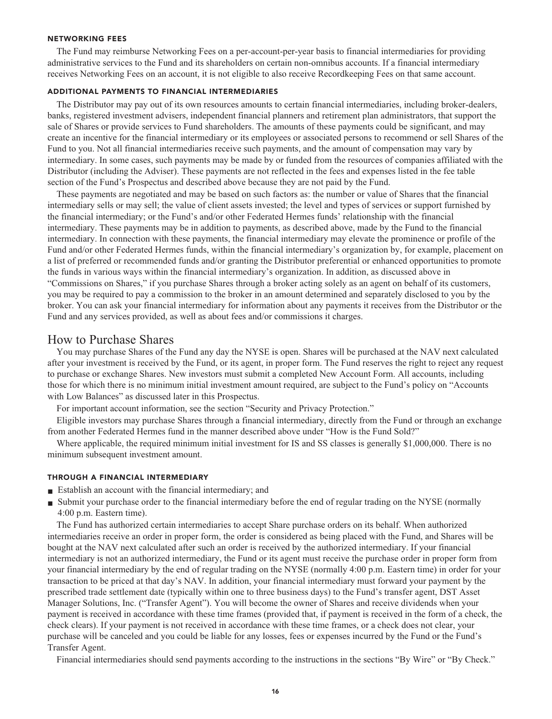#### **NETWORKING FEES**

**The Fund may reimburse Networking Fees on a per-account-per-year basis to financial intermediaries for providing administrative services to the Fund and its shareholders on certain non-omnibus accounts. If a financial intermediary receives Networking Fees on an account, it is not eligible to also receive Recordkeeping Fees on that same account.**

#### **ADDITIONAL PAYMENTS TO FINANCIAL INTERMEDIARIES**

**The Distributor may pay out of its own resources amounts to certain financial intermediaries, including broker-dealers, banks, registered investment advisers, independent financial planners and retirement plan administrators, that support the sale of Shares or provide services to Fund shareholders. The amounts of these payments could be significant, and may create an incentive for the financial intermediary or its employees or associated persons to recommend or sell Shares of the Fund to you. Not all financial intermediaries receive such payments, and the amount of compensation may vary by intermediary. In some cases, such payments may be made by or funded from the resources of companies affiliated with the Distributor (including the Adviser). These payments are not reflected in the fees and expenses listed in the fee table section of the Fund's Prospectus and described above because they are not paid by the Fund.**

**These payments are negotiated and may be based on such factors as: the number or value of Shares that the financial intermediary sells or may sell; the value of client assets invested; the level and types of services or support furnished by the financial intermediary; or the Fund's and/or other Federated Hermes funds' relationship with the financial intermediary. These payments may be in addition to payments, as described above, made by the Fund to the financial intermediary. In connection with these payments, the financial intermediary may elevate the prominence or profile of the Fund and/or other Federated Hermes funds, within the financial intermediary's organization by, for example, placement on a list of preferred or recommended funds and/or granting the Distributor preferential or enhanced opportunities to promote the funds in various ways within the financial intermediary's organization. In addition, as discussed above in "Commissions on Shares," if you purchase Shares through a broker acting solely as an agent on behalf of its customers, you may be required to pay a commission to the broker in an amount determined and separately disclosed to you by the broker. You can ask your financial intermediary for information about any payments it receives from the Distributor or the Fund and any services provided, as well as about fees and/or commissions it charges.**

## **How to Purchase Shares**

**You may purchase Shares of the Fund any day the NYSE is open. Shares will be purchased at the NAV next calculated after your investment is received by the Fund, or its agent, in proper form. The Fund reserves the right to reject any request to purchase or exchange Shares. New investors must submit a completed New Account Form. All accounts, including those for which there is no minimum initial investment amount required, are subject to the Fund's policy on "Accounts with Low Balances" as discussed later in this Prospectus.**

**For important account information, see the section "Security and Privacy Protection."**

**Eligible investors may purchase Shares through a financial intermediary, directly from the Fund or through an exchange from another Federated Hermes fund in the manner described above under "How is the Fund Sold?"**

**Where applicable, the required minimum initial investment for IS and SS classes is generally \$1,000,000. There is no minimum subsequent investment amount.**

#### **THROUGH A FINANCIAL INTERMEDIARY**

- **■ Establish an account with the financial intermediary; and**
- Submit your purchase order to the financial intermediary before the end of regular trading on the NYSE (normally **4:00 p.m. Eastern time).**

**The Fund has authorized certain intermediaries to accept Share purchase orders on its behalf. When authorized intermediaries receive an order in proper form, the order is considered as being placed with the Fund, and Shares will be bought at the NAV next calculated after such an order is received by the authorized intermediary. If your financial intermediary is not an authorized intermediary, the Fund or its agent must receive the purchase order in proper form from your financial intermediary by the end of regular trading on the NYSE (normally 4:00 p.m. Eastern time) in order for your transaction to be priced at that day's NAV. In addition, your financial intermediary must forward your payment by the prescribed trade settlement date (typically within one to three business days) to the Fund's transfer agent, DST Asset Manager Solutions, Inc. ("Transfer Agent"). You will become the owner of Shares and receive dividends when your payment is received in accordance with these time frames (provided that, if payment is received in the form of a check, the check clears). If your payment is not received in accordance with these time frames, or a check does not clear, your purchase will be canceled and you could be liable for any losses, fees or expenses incurred by the Fund or the Fund's Transfer Agent.**

**Financial intermediaries should send payments according to the instructions in the sections "By Wire" or "By Check."**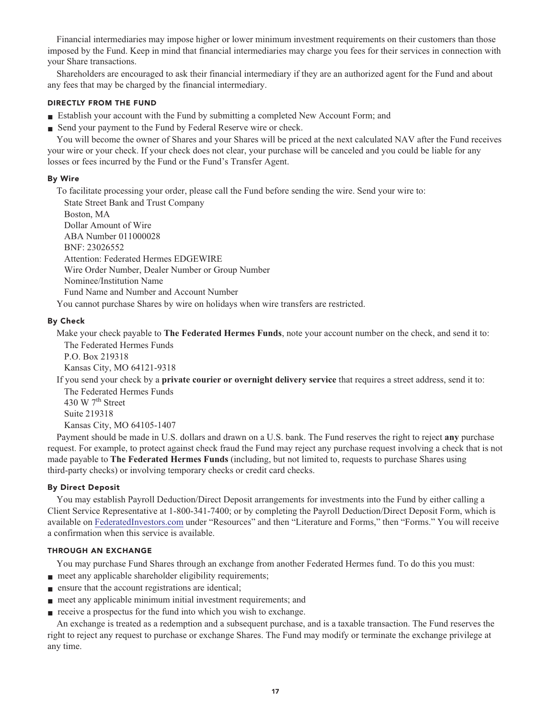**Financial intermediaries may impose higher or lower minimum investment requirements on their customers than those imposed by the Fund. Keep in mind that financial intermediaries may charge you fees for their services in connection with your Share transactions.**

**Shareholders are encouraged to ask their financial intermediary if they are an authorized agent for the Fund and about any fees that may be charged by the financial intermediary.**

#### **DIRECTLY FROM THE FUND**

- **Establish your account with the Fund by submitting a completed New Account Form; and**
- **Send your payment to the Fund by Federal Reserve wire or check.**

**You will become the owner of Shares and your Shares will be priced at the next calculated NAV after the Fund receives your wire or your check. If your check does not clear, your purchase will be canceled and you could be liable for any losses or fees incurred by the Fund or the Fund's Transfer Agent.**

#### **By Wire**

**To facilitate processing your order, please call the Fund before sending the wire. Send your wire to:**

**State Street Bank and Trust Company Boston, MA Dollar Amount of Wire ABA Number 011000028 BNF: 23026552 Attention: Federated Hermes EDGEWIRE Wire Order Number, Dealer Number or Group Number Nominee/Institution Name Fund Name and Number and Account Number**

**You cannot purchase Shares by wire on holidays when wire transfers are restricted.**

#### **By Check**

**Make your check payable to The Federated Hermes Funds, note your account number on the check, and send it to: The Federated Hermes Funds**

**P.O. Box 219318 Kansas City, MO 64121-9318**

**If you send your check by a private courier or overnight delivery service that requires a street address, send it to: The Federated Hermes Funds**

**th 430 W 7 Street Suite 219318 Kansas City, MO 64105-1407**

**Payment should be made in U.S. dollars and drawn on a U.S. bank. The Fund reserves the right to reject any purchase request. For example, to protect against check fraud the Fund may reject any purchase request involving a check that is not made payable to The Federated Hermes Funds (including, but not limited to, requests to purchase Shares using third-party checks) or involving temporary checks or credit card checks.**

#### **By Direct Deposit**

**You may establish Payroll Deduction/Direct Deposit arrangements for investments into the Fund by either calling a Client Service Representative at 1-800-341-7400; or by completing the Payroll Deduction/Direct Deposit Form, which is available on [FederatedInvestors.com](https://www.federatedinvestors.com/home.do) under "Resources" and then "Literature and Forms," then "Forms." You will receive a confirmation when this service is available.**

#### **THROUGH AN EXCHANGE**

**You may purchase Fund Shares through an exchange from another Federated Hermes fund. To do this you must:**

- **meet any applicable shareholder eligibility requirements;**
- **ensure that the account registrations are identical;**
- **meet any applicable minimum initial investment requirements; and**
- **receive a prospectus for the fund into which you wish to exchange.**

**An exchange is treated as a redemption and a subsequent purchase, and is a taxable transaction. The Fund reserves the right to reject any request to purchase or exchange Shares. The Fund may modify or terminate the exchange privilege at any time.**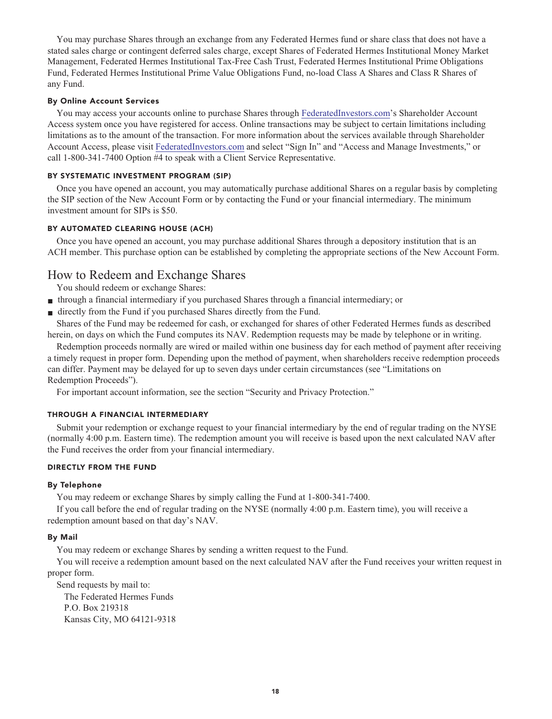**You may purchase Shares through an exchange from any Federated Hermes fund or share class that does not have a stated sales charge or contingent deferred sales charge, except Shares of Federated Hermes Institutional Money Market Management, Federated Hermes Institutional Tax-Free Cash Trust, Federated Hermes Institutional Prime Obligations Fund, Federated Hermes Institutional Prime Value Obligations Fund, no-load Class A Shares and Class R Shares of any Fund.**

#### **By Online Account Services**

**You may access your accounts online to purchase Shares through [FederatedInvestors.com'](https://www.federatedinvestors.com/home.do)s Shareholder Account Access system once you have registered for access. Online transactions may be subject to certain limitations including limitations as to the amount of the transaction. For more information about the services available through Shareholder Account Access, please visit [FederatedInvestors.com](https://www.federatedinvestors.com/home.do) and select "Sign In" and "Access and Manage Investments," or call 1-800-341-7400 Option #4 to speak with a Client Service Representative.**

#### **BY SYSTEMATIC INVESTMENT PROGRAM (SIP)**

**Once you have opened an account, you may automatically purchase additional Shares on a regular basis by completing the SIP section of the New Account Form or by contacting the Fund or your financial intermediary. The minimum investment amount for SIPs is \$50.**

#### **BY AUTOMATED CLEARING HOUSE (ACH)**

**Once you have opened an account, you may purchase additional Shares through a depository institution that is an ACH member. This purchase option can be established by completing the appropriate sections of the New Account Form.**

# **How to Redeem and Exchange Shares**

**You should redeem or exchange Shares:**

- **■ through a financial intermediary if you purchased Shares through a financial intermediary; or**
- directly from the Fund if you purchased Shares directly from the Fund.

**Shares of the Fund may be redeemed for cash, or exchanged for shares of other Federated Hermes funds as described herein, on days on which the Fund computes its NAV. Redemption requests may be made by telephone or in writing.**

**Redemption proceeds normally are wired or mailed within one business day for each method of payment after receiving a timely request in proper form. Depending upon the method of payment, when shareholders receive redemption proceeds can differ. Payment may be delayed for up to seven days under certain circumstances (see "Limitations on Redemption Proceeds").**

**For important account information, see the section "Security and Privacy Protection."**

#### **THROUGH A FINANCIAL INTERMEDIARY**

**Submit your redemption or exchange request to your financial intermediary by the end of regular trading on the NYSE (normally 4:00 p.m. Eastern time). The redemption amount you will receive is based upon the next calculated NAV after the Fund receives the order from your financial intermediary.**

#### **DIRECTLY FROM THE FUND**

#### **By Telephone**

**You may redeem or exchange Shares by simply calling the Fund at 1-800-341-7400.**

**If you call before the end of regular trading on the NYSE (normally 4:00 p.m. Eastern time), you will receive a redemption amount based on that day's NAV.**

#### **By Mail**

**You may redeem or exchange Shares by sending a written request to the Fund.**

**You will receive a redemption amount based on the next calculated NAV after the Fund receives your written request in proper form.**

**Send requests by mail to: The Federated Hermes Funds P.O. Box 219318 Kansas City, MO 64121-9318**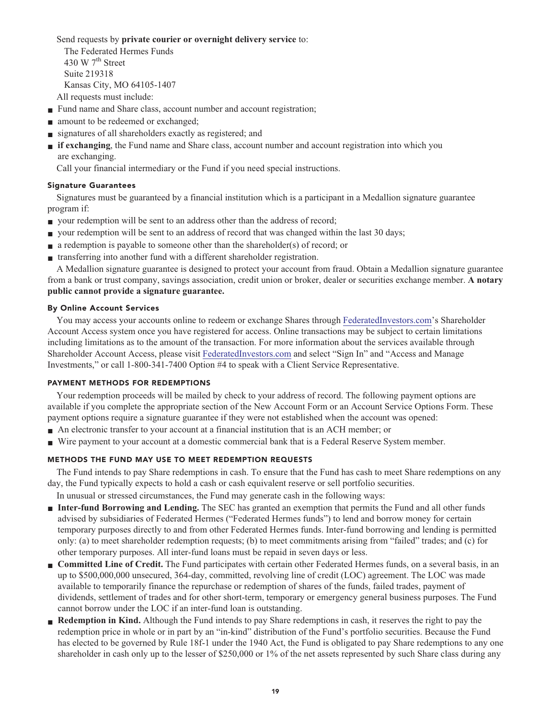**Send requests by private courier or overnight delivery service to:**

**The Federated Hermes Funds th 430 W 7 Street Suite 219318 Kansas City, MO 64105-1407 All requests must include:**

- **Fund name and Share class, account number and account registration;**
- **amount** to be redeemed or exchanged;
- **■ signatures of all shareholders exactly as registered; and**
- **■ if exchanging, the Fund name and Share class, account number and account registration into which you are exchanging.**

**Call your financial intermediary or the Fund if you need special instructions.**

#### **Signature Guarantees**

**Signatures must be guaranteed by a financial institution which is a participant in a Medallion signature guarantee program if:**

- **your redemption will be sent to an address other than the address of record;**
- **■ your redemption will be sent to an address of record that was changed within the last 30 days;**
- **a redemption is payable to someone other than the shareholder(s) of record; or**
- **■ transferring into another fund with a different shareholder registration.**

**A Medallion signature guarantee is designed to protect your account from fraud. Obtain a Medallion signature guarantee from a bank or trust company, savings association, credit union or broker, dealer or securities exchange member. A notary public cannot provide a signature guarantee.**

#### **By Online Account Services**

**You may access your accounts online to redeem or exchange Shares through [FederatedInvestors.com'](https://www.federatedinvestors.com/home.do)s Shareholder Account Access system once you have registered for access. Online transactions may be subject to certain limitations including limitations as to the amount of the transaction. For more information about the services available through Shareholder Account Access, please visit [FederatedInvestors.com](https://www.federatedinvestors.com/home.do) and select "Sign In" and "Access and Manage Investments," or call 1-800-341-7400 Option #4 to speak with a Client Service Representative.**

#### **PAYMENT METHODS FOR REDEMPTIONS**

**Your redemption proceeds will be mailed by check to your address of record. The following payment options are available if you complete the appropriate section of the New Account Form or an Account Service Options Form. These payment options require a signature guarantee if they were not established when the account was opened:**

- An electronic transfer to your account at a financial institution that is an ACH member; or
- Wire payment to your account at a domestic commercial bank that is a Federal Reserve System member.

#### **METHODS THE FUND MAY USE TO MEET REDEMPTION REQUESTS**

**The Fund intends to pay Share redemptions in cash. To ensure that the Fund has cash to meet Share redemptions on any day, the Fund typically expects to hold a cash or cash equivalent reserve or sell portfolio securities.**

**In unusual or stressed circumstances, the Fund may generate cash in the following ways:**

- **■ Inter-fund Borrowing and Lending.** The SEC has granted an exemption that permits the Fund and all other funds **advised by subsidiaries of Federated Hermes ("Federated Hermes funds") to lend and borrow money for certain temporary purposes directly to and from other Federated Hermes funds. Inter-fund borrowing and lending is permitted only: (a) to meet shareholder redemption requests; (b) to meet commitments arising from "failed" trades; and (c) for other temporary purposes. All inter-fund loans must be repaid in seven days or less.**
- **Committed Line of Credit.** The Fund participates with certain other Federated Hermes funds, on a several basis, in an **up to \$500,000,000 unsecured, 364-day, committed, revolving line of credit (LOC) agreement. The LOC was made available to temporarily finance the repurchase or redemption of shares of the funds, failed trades, payment of dividends, settlement of trades and for other short-term, temporary or emergency general business purposes. The Fund cannot borrow under the LOC if an inter-fund loan is outstanding.**
- **Redemption in Kind.** Although the Fund intends to pay Share redemptions in cash, it reserves the right to pay the **redemption price in whole or in part by an "in-kind" distribution of the Fund's portfolio securities. Because the Fund has elected to be governed by Rule 18f-1 under the 1940 Act, the Fund is obligated to pay Share redemptions to any one shareholder in cash only up to the lesser of \$250,000 or 1% of the net assets represented by such Share class during any**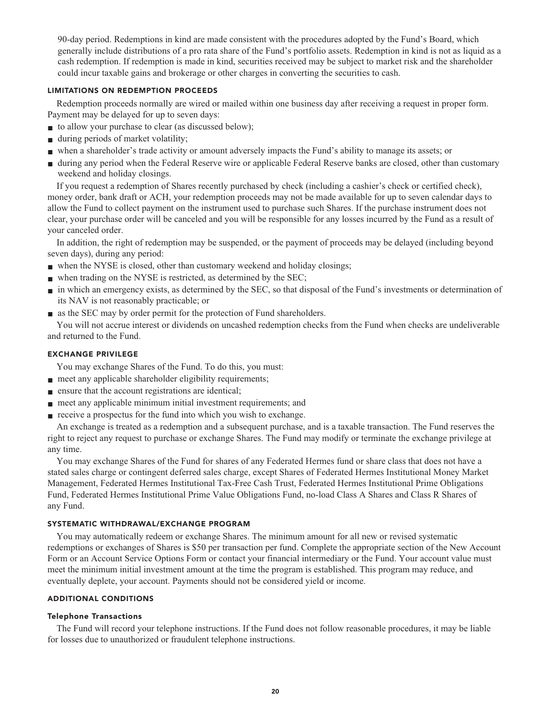**90-day period. Redemptions in kind are made consistent with the procedures adopted by the Fund's Board, which generally include distributions of a pro rata share of the Fund's portfolio assets. Redemption in kind is not as liquid as a cash redemption. If redemption is made in kind, securities received may be subject to market risk and the shareholder could incur taxable gains and brokerage or other charges in converting the securities to cash.**

#### **LIMITATIONS ON REDEMPTION PROCEEDS**

**Redemption proceeds normally are wired or mailed within one business day after receiving a request in proper form. Payment may be delayed for up to seven days:**

- **to allow your purchase to clear (as discussed below);**
- **■ during periods of market volatility;**
- **■ when a shareholder's trade activity or amount adversely impacts the Fund's ability to manage its assets; or**
- **■ during any period when the Federal Reserve wire or applicable Federal Reserve banks are closed, other than customary weekend and holiday closings.**

**If you request a redemption of Shares recently purchased by check (including a cashier's check or certified check), money order, bank draft or ACH, your redemption proceeds may not be made available for up to seven calendar days to allow the Fund to collect payment on the instrument used to purchase such Shares. If the purchase instrument does not clear, your purchase order will be canceled and you will be responsible for any losses incurred by the Fund as a result of your canceled order.**

**In addition, the right of redemption may be suspended, or the payment of proceeds may be delayed (including beyond seven days), during any period:**

- **■ when the NYSE is closed, other than customary weekend and holiday closings;**
- when trading on the NYSE is restricted, as determined by the SEC;
- **■ in which an emergency exists, as determined by the SEC, so that disposal of the Fund's investments or determination of its NAV is not reasonably practicable; or**
- **■ as the SEC may by order permit for the protection of Fund shareholders.**

**You will not accrue interest or dividends on uncashed redemption checks from the Fund when checks are undeliverable and returned to the Fund.**

#### **EXCHANGE PRIVILEGE**

**You may exchange Shares of the Fund. To do this, you must:**

- **meet any applicable shareholder eligibility requirements;**
- **■ ensure that the account registrations are identical;**
- **meet any applicable minimum initial investment requirements; and**
- **receive a prospectus for the fund into which you wish to exchange.**

**An exchange is treated as a redemption and a subsequent purchase, and is a taxable transaction. The Fund reserves the right to reject any request to purchase or exchange Shares. The Fund may modify or terminate the exchange privilege at any time.**

**You may exchange Shares of the Fund for shares of any Federated Hermes fund or share class that does not have a stated sales charge or contingent deferred sales charge, except Shares of Federated Hermes Institutional Money Market Management, Federated Hermes Institutional Tax-Free Cash Trust, Federated Hermes Institutional Prime Obligations Fund, Federated Hermes Institutional Prime Value Obligations Fund, no-load Class A Shares and Class R Shares of any Fund.**

#### **SYSTEMATIC WITHDRAWAL/EXCHANGE PROGRAM**

**You may automatically redeem or exchange Shares. The minimum amount for all new or revised systematic redemptions or exchanges of Shares is \$50 per transaction per fund. Complete the appropriate section of the New Account Form or an Account Service Options Form or contact your financial intermediary or the Fund. Your account value must meet the minimum initial investment amount at the time the program is established. This program may reduce, and eventually deplete, your account. Payments should not be considered yield or income.**

#### **ADDITIONAL CONDITIONS**

#### **Telephone Transactions**

**The Fund will record your telephone instructions. If the Fund does not follow reasonable procedures, it may be liable for losses due to unauthorized or fraudulent telephone instructions.**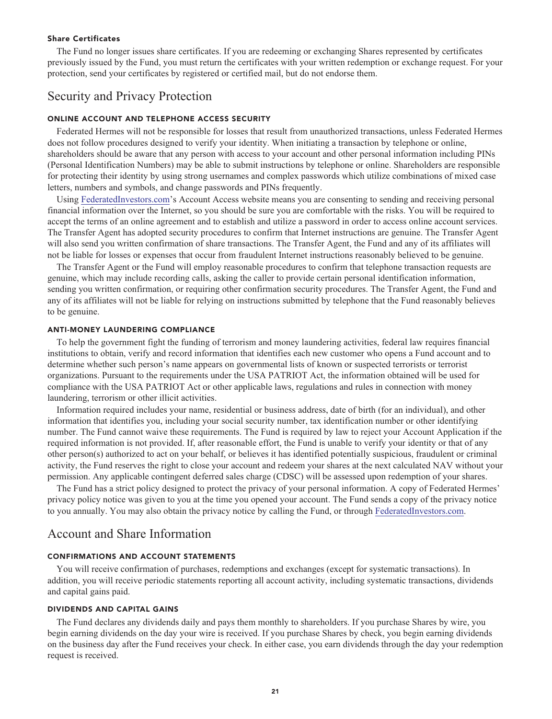#### **Share Certificates**

**The Fund no longer issues share certificates. If you are redeeming or exchanging Shares represented by certificates previously issued by the Fund, you must return the certificates with your written redemption or exchange request. For your protection, send your certificates by registered or certified mail, but do not endorse them.**

## **Security and Privacy Protection**

#### **ONLINE ACCOUNT AND TELEPHONE ACCESS SECURITY**

**Federated Hermes will not be responsible for losses that result from unauthorized transactions, unless Federated Hermes does not follow procedures designed to verify your identity. When initiating a transaction by telephone or online, shareholders should be aware that any person with access to your account and other personal information including PINs (Personal Identification Numbers) may be able to submit instructions by telephone or online. Shareholders are responsible for protecting their identity by using strong usernames and complex passwords which utilize combinations of mixed case letters, numbers and symbols, and change passwords and PINs frequently.**

**Using [FederatedInvestors.com'](https://www.federatedinvestors.com/home.do)s Account Access website means you are consenting to sending and receiving personal financial information over the Internet, so you should be sure you are comfortable with the risks. You will be required to accept the terms of an online agreement and to establish and utilize a password in order to access online account services. The Transfer Agent has adopted security procedures to confirm that Internet instructions are genuine. The Transfer Agent will also send you written confirmation of share transactions. The Transfer Agent, the Fund and any of its affiliates will not be liable for losses or expenses that occur from fraudulent Internet instructions reasonably believed to be genuine.**

**The Transfer Agent or the Fund will employ reasonable procedures to confirm that telephone transaction requests are genuine, which may include recording calls, asking the caller to provide certain personal identification information, sending you written confirmation, or requiring other confirmation security procedures. The Transfer Agent, the Fund and any of its affiliates will not be liable for relying on instructions submitted by telephone that the Fund reasonably believes to be genuine.**

#### **ANTI-MONEY LAUNDERING COMPLIANCE**

**To help the government fight the funding of terrorism and money laundering activities, federal law requires financial institutions to obtain, verify and record information that identifies each new customer who opens a Fund account and to determine whether such person's name appears on governmental lists of known or suspected terrorists or terrorist organizations. Pursuant to the requirements under the USA PATRIOT Act, the information obtained will be used for compliance with the USA PATRIOT Act or other applicable laws, regulations and rules in connection with money laundering, terrorism or other illicit activities.**

**Information required includes your name, residential or business address, date of birth (for an individual), and other information that identifies you, including your social security number, tax identification number or other identifying number. The Fund cannot waive these requirements. The Fund is required by law to reject your Account Application if the required information is not provided. If, after reasonable effort, the Fund is unable to verify your identity or that of any other person(s) authorized to act on your behalf, or believes it has identified potentially suspicious, fraudulent or criminal activity, the Fund reserves the right to close your account and redeem your shares at the next calculated NAV without your permission. Any applicable contingent deferred sales charge (CDSC) will be assessed upon redemption of your shares.**

**The Fund has a strict policy designed to protect the privacy of your personal information. A copy of Federated Hermes' privacy policy notice was given to you at the time you opened your account. The Fund sends a copy of the privacy notice to you annually. You may also obtain the privacy notice by calling the Fund, or through [FederatedInvestors.com.](https://www.federatedinvestors.com/home.do)**

# **Account and Share Information**

#### **CONFIRMATIONS AND ACCOUNT STATEMENTS**

**You will receive confirmation of purchases, redemptions and exchanges (except for systematic transactions). In addition, you will receive periodic statements reporting all account activity, including systematic transactions, dividends and capital gains paid.**

#### **DIVIDENDS AND CAPITAL GAINS**

**The Fund declares any dividends daily and pays them monthly to shareholders. If you purchase Shares by wire, you begin earning dividends on the day your wire is received. If you purchase Shares by check, you begin earning dividends on the business day after the Fund receives your check. In either case, you earn dividends through the day your redemption request is received.**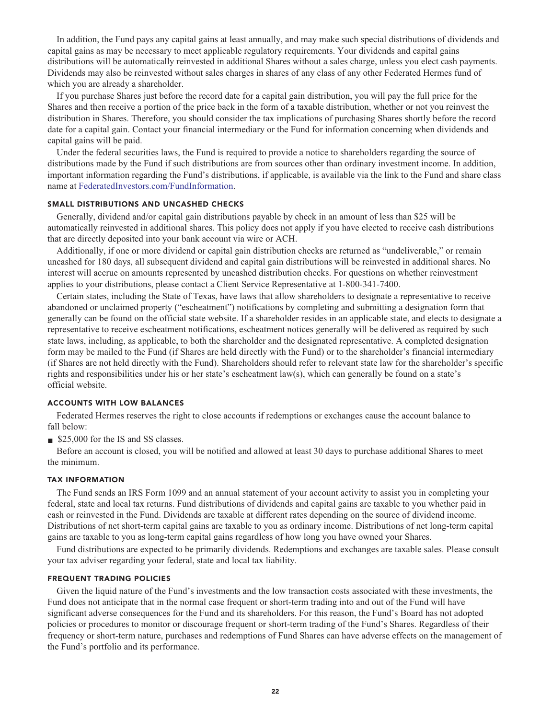**In addition, the Fund pays any capital gains at least annually, and may make such special distributions of dividends and capital gains as may be necessary to meet applicable regulatory requirements. Your dividends and capital gains distributions will be automatically reinvested in additional Shares without a sales charge, unless you elect cash payments. Dividends may also be reinvested without sales charges in shares of any class of any other Federated Hermes fund of which you are already a shareholder.**

**If you purchase Shares just before the record date for a capital gain distribution, you will pay the full price for the Shares and then receive a portion of the price back in the form of a taxable distribution, whether or not you reinvest the distribution in Shares. Therefore, you should consider the tax implications of purchasing Shares shortly before the record date for a capital gain. Contact your financial intermediary or the Fund for information concerning when dividends and capital gains will be paid.**

**Under the federal securities laws, the Fund is required to provide a notice to shareholders regarding the source of distributions made by the Fund if such distributions are from sources other than ordinary investment income. In addition, important information regarding the Fund's distributions, if applicable, is available via the link to the Fund and share class name at [FederatedInvestors.com/FundInformation.](https://www.federatedinvestors.com/product-info/prospectuses-and-regulatory-reports.do)**

#### **SMALL DISTRIBUTIONS AND UNCASHED CHECKS**

**Generally, dividend and/or capital gain distributions payable by check in an amount of less than \$25 will be automatically reinvested in additional shares. This policy does not apply if you have elected to receive cash distributions that are directly deposited into your bank account via wire or ACH.**

**Additionally, if one or more dividend or capital gain distribution checks are returned as "undeliverable," or remain uncashed for 180 days, all subsequent dividend and capital gain distributions will be reinvested in additional shares. No interest will accrue on amounts represented by uncashed distribution checks. For questions on whether reinvestment applies to your distributions, please contact a Client Service Representative at 1-800-341-7400.**

**Certain states, including the State of Texas, have laws that allow shareholders to designate a representative to receive abandoned or unclaimed property ("escheatment") notifications by completing and submitting a designation form that generally can be found on the official state website. If a shareholder resides in an applicable state, and elects to designate a representative to receive escheatment notifications, escheatment notices generally will be delivered as required by such state laws, including, as applicable, to both the shareholder and the designated representative. A completed designation form may be mailed to the Fund (if Shares are held directly with the Fund) or to the shareholder's financial intermediary (if Shares are not held directly with the Fund). Shareholders should refer to relevant state law for the shareholder's specific rights and responsibilities under his or her state's escheatment law(s), which can generally be found on a state's official website.**

#### **ACCOUNTS WITH LOW BALANCES**

**Federated Hermes reserves the right to close accounts if redemptions or exchanges cause the account balance to fall below:**

**■ \$25,000 for the IS and SS classes.**

**Before an account is closed, you will be notified and allowed at least 30 days to purchase additional Shares to meet the minimum.**

#### **TAX INFORMATION**

**The Fund sends an IRS Form 1099 and an annual statement of your account activity to assist you in completing your federal, state and local tax returns. Fund distributions of dividends and capital gains are taxable to you whether paid in cash or reinvested in the Fund. Dividends are taxable at different rates depending on the source of dividend income. Distributions of net short-term capital gains are taxable to you as ordinary income. Distributions of net long-term capital gains are taxable to you as long-term capital gains regardless of how long you have owned your Shares.**

**Fund distributions are expected to be primarily dividends. Redemptions and exchanges are taxable sales. Please consult your tax adviser regarding your federal, state and local tax liability.**

#### **FREQUENT TRADING POLICIES**

**Given the liquid nature of the Fund's investments and the low transaction costs associated with these investments, the Fund does not anticipate that in the normal case frequent or short-term trading into and out of the Fund will have significant adverse consequences for the Fund and its shareholders. For this reason, the Fund's Board has not adopted policies or procedures to monitor or discourage frequent or short-term trading of the Fund's Shares. Regardless of their frequency or short-term nature, purchases and redemptions of Fund Shares can have adverse effects on the management of the Fund's portfolio and its performance.**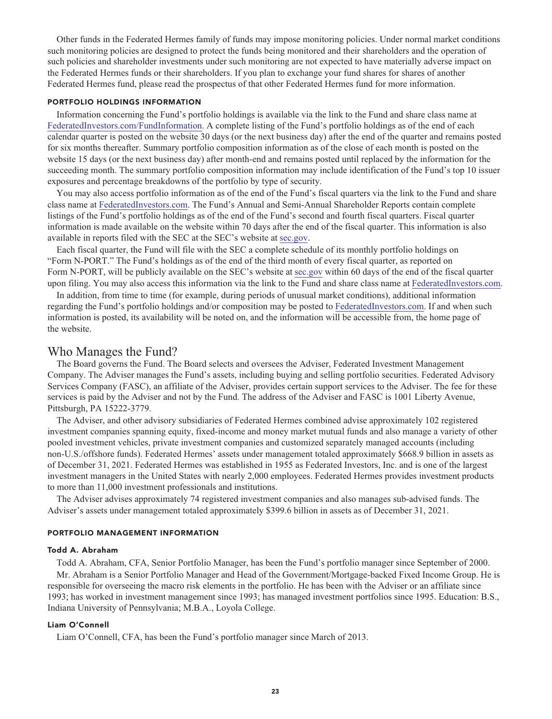**Other funds in the Federated Hermes family of funds may impose monitoring policies. Under normal market conditions such monitoring policies are designed to protect the funds being monitored and their shareholders and the operation of such policies and shareholder investments under such monitoring are not expected to have materially adverse impact on the Federated Hermes funds or their shareholders. If you plan to exchange your fund shares for shares of another Federated Hermes fund, please read the prospectus of that other Federated Hermes fund for more information.**

#### **PORTFOLIO HOLDINGS INFORMATION**

**Information concerning the Fund's portfolio holdings is available via the link to the Fund and share class name at [FederatedInvestors.com/FundInformation.](https://www.federatedinvestors.com/product-info/prospectuses-and-regulatory-reports.do) A complete listing of the Fund's portfolio holdings as of the end of each calendar quarter is posted on the website 30 days (or the next business day) after the end of the quarter and remains posted for six months thereafter. Summary portfolio composition information as of the close of each month is posted on the website 15 days (or the next business day) after month-end and remains posted until replaced by the information for the succeeding month. The summary portfolio composition information may include identification of the Fund's top 10 issuer exposures and percentage breakdowns of the portfolio by type of security.**

**You may also access portfolio information as of the end of the Fund's fiscal quarters via the link to the Fund and share class name at [FederatedInvestors.com.](https://www.federatedinvestors.com/home.do) The Fund's Annual and Semi-Annual Shareholder Reports contain complete listings of the Fund's portfolio holdings as of the end of the Fund's second and fourth fiscal quarters. Fiscal quarter information is made available on the website within 70 days after the end of the fiscal quarter. This information is also available in reports filed with the SEC at the SEC's website at [sec.gov.](https://www.sec.gov/)**

**Each fiscal quarter, the Fund will file with the SEC a complete schedule of its monthly portfolio holdings on "Form N-PORT." The Fund's holdings as of the end of the third month of every fiscal quarter, as reported on Form N-PORT, will be publicly available on the SEC's website at [sec.gov](https://www.sec.gov/) within 60 days of the end of the fiscal quarter upon filing. You may also access this information via the link to the Fund and share class name at [FederatedInvestors.com.](https://www.federatedinvestors.com/home.do)**

**In addition, from time to time (for example, during periods of unusual market conditions), additional information regarding the Fund's portfolio holdings and/or composition may be posted to [FederatedInvestors.com.](https://www.federatedinvestors.com/home.do) If and when such information is posted, its availability will be noted on, and the information will be accessible from, the home page of the website.**

# **Who Manages the Fund?**

**The Board governs the Fund. The Board selects and oversees the Adviser, Federated Investment Management Company. The Adviser manages the Fund's assets, including buying and selling portfolio securities. Federated Advisory Services Company (FASC), an affiliate of the Adviser, provides certain support services to the Adviser. The fee for these services is paid by the Adviser and not by the Fund. The address of the Adviser and FASC is 1001 Liberty Avenue, Pittsburgh, PA 15222-3779.**

**The Adviser, and other advisory subsidiaries of Federated Hermes combined advise approximately 102 registered investment companies spanning equity, fixed-income and money market mutual funds and also manage a variety of other pooled investment vehicles, private investment companies and customized separately managed accounts (including non-U.S./offshore funds). Federated Hermes' assets under management totaled approximately \$668.9 billion in assets as of December 31, 2021. Federated Hermes was established in 1955 as Federated Investors, Inc. and is one of the largest investment managers in the United States with nearly 2,000 employees. Federated Hermes provides investment products to more than 11,000 investment professionals and institutions.**

**The Adviser advises approximately 74 registered investment companies and also manages sub-advised funds. The Adviser's assets under management totaled approximately \$399.6 billion in assets as of December 31, 2021.**

#### **PORTFOLIO MANAGEMENT INFORMATION**

#### **Todd A. Abraham**

**Todd A. Abraham, CFA, Senior Portfolio Manager, has been the Fund's portfolio manager since September of 2000. Mr. Abraham is a Senior Portfolio Manager and Head of the Government/Mortgage-backed Fixed Income Group. He is responsible for overseeing the macro risk elements in the portfolio. He has been with the Adviser or an affiliate since 1993; has worked in investment management since 1993; has managed investment portfolios since 1995. Education: B.S., Indiana University of Pennsylvania; M.B.A., Loyola College.**

#### **Liam O'Connell**

**Liam O'Connell, CFA, has been the Fund's portfolio manager since March of 2013.**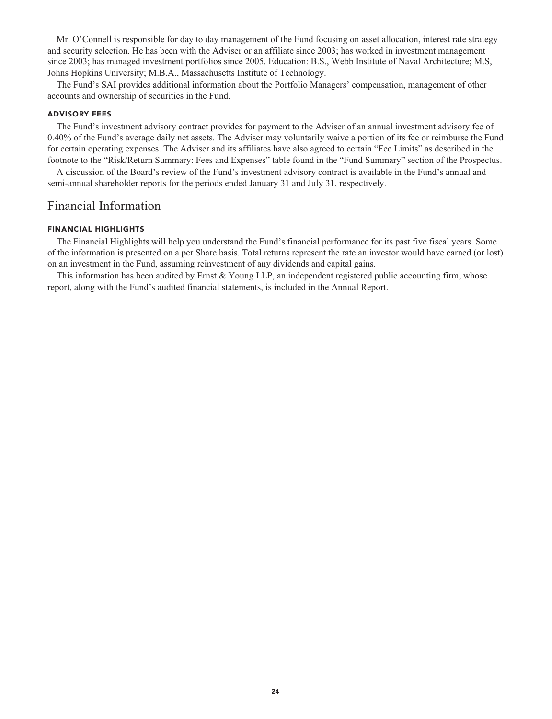**Mr. O'Connell is responsible for day to day management of the Fund focusing on asset allocation, interest rate strategy and security selection. He has been with the Adviser or an affiliate since 2003; has worked in investment management since 2003; has managed investment portfolios since 2005. Education: B.S., Webb Institute of Naval Architecture; M.S, Johns Hopkins University; M.B.A., Massachusetts Institute of Technology.**

**The Fund's SAI provides additional information about the Portfolio Managers' compensation, management of other accounts and ownership of securities in the Fund.**

#### **ADVISORY FEES**

**The Fund's investment advisory contract provides for payment to the Adviser of an annual investment advisory fee of 0.40% of the Fund's average daily net assets. The Adviser may voluntarily waive a portion of its fee or reimburse the Fund for certain operating expenses. The Adviser and its affiliates have also agreed to certain "Fee Limits" as described in the footnote to the "Risk/Return Summary: Fees and Expenses" table found in the "Fund Summary" section of the Prospectus.**

**A discussion of the Board's review of the Fund's investment advisory contract is available in the Fund's annual and semi-annual shareholder reports for the periods ended January 31 and July 31, respectively.**

# **Financial Information**

#### **FINANCIAL HIGHLIGHTS**

**The Financial Highlights will help you understand the Fund's financial performance for its past five fiscal years. Some of the information is presented on a per Share basis. Total returns represent the rate an investor would have earned (or lost) on an investment in the Fund, assuming reinvestment of any dividends and capital gains.**

**This information has been audited by Ernst & Young LLP, an independent registered public accounting firm, whose report, along with the Fund's audited financial statements, is included in the Annual Report.**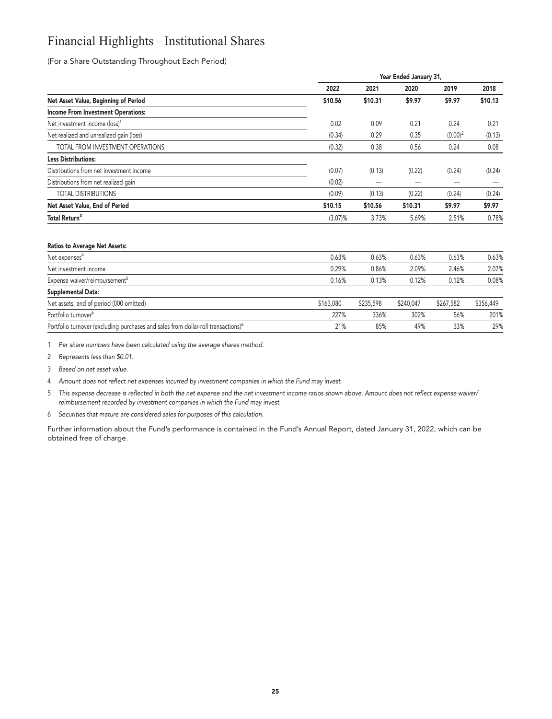# **Financial Highlights – Institutional Shares**

**(For a Share Outstanding Throughout Each Period)**

|                                           |            | Year Ended January 31, |         |            |         |  |  |  |
|-------------------------------------------|------------|------------------------|---------|------------|---------|--|--|--|
|                                           | 2022       | 2021                   | 2020    | 2019       | 2018    |  |  |  |
| Net Asset Value, Beginning of Period      | \$10.56    | \$10.31                | \$9.97  | \$9.97     | \$10.13 |  |  |  |
| <b>Income From Investment Operations:</b> |            |                        |         |            |         |  |  |  |
| Net investment income (loss) <sup>1</sup> | 0.02       | 0.09                   | 0.21    | 0.24       | 0.21    |  |  |  |
| Net realized and unrealized gain (loss)   | (0.34)     | 0.29                   | 0.35    | $(0.00)^2$ | (0.13)  |  |  |  |
| TOTAL FROM INVESTMENT OPERATIONS          | (0.32)     | 0.38                   | 0.56    | 0.24       | 0.08    |  |  |  |
| <b>Less Distributions:</b>                |            |                        |         |            |         |  |  |  |
| Distributions from net investment income  | (0.07)     | (0.13)                 | (0.22)  | (0.24)     | (0.24)  |  |  |  |
| Distributions from net realized gain      | (0.02)     |                        |         |            |         |  |  |  |
| <b>TOTAL DISTRIBUTIONS</b>                | (0.09)     | (0.13)                 | (0.22)  | (0.24)     | (0.24)  |  |  |  |
| Net Asset Value, End of Period            | \$10.15    | \$10.56                | \$10.31 | \$9.97     | \$9.97  |  |  |  |
| Total Return <sup>3</sup>                 | $(3.07)\%$ | 3.73%                  | 5.69%   | 2.51%      | 0.78%   |  |  |  |
|                                           |            |                        |         |            |         |  |  |  |

#### **Ratios to Average Net Assets:**

| Net expenses <sup>4</sup>                                                                     | 0.63%     | 0.63%     | 0.63%     | 0.63%     | 0.63%     |
|-----------------------------------------------------------------------------------------------|-----------|-----------|-----------|-----------|-----------|
| Net investment income                                                                         | 0.29%     | 0.86%     | 2.09%     | 2.46%     | 2.07%     |
| Expense waiver/reimbursement <sup>5</sup>                                                     | 0.16%     | 0.13%     | 0.12%     | 0.12%     | 0.08%     |
| Supplemental Data:                                                                            |           |           |           |           |           |
| Net assets, end of period (000 omitted)                                                       | \$163,080 | \$235,598 | \$240,047 | \$267.582 | \$356,449 |
| Portfolio turnover <sup>6</sup>                                                               | 227%      | 336%      | 302%      | 56%       | 201%      |
| Portfolio turnover (excluding purchases and sales from dollar-roll transactions) <sup>6</sup> | 21%       | 85%       | 49%       | 33%       | 29%       |

**1 Per share numbers have been calculated using the average shares method.**

**2 Represents less than \$0.01.**

**3 Based on net asset value.**

**4 Amount does not reflect net expenses incurred by investment companies in which the Fund may invest.**

- **5 This expense decrease is reflected in both the net expense and the net investment income ratios shown above. Amount does not reflect expense waiver/ reimbursement recorded by investment companies in which the Fund may invest.**
- **6 Securities that mature are considered sales for purposes of this calculation.**

**Further information about the Fund's performance is contained in the Fund's Annual Report, dated January 31, 2022, which can be obtained free of charge.**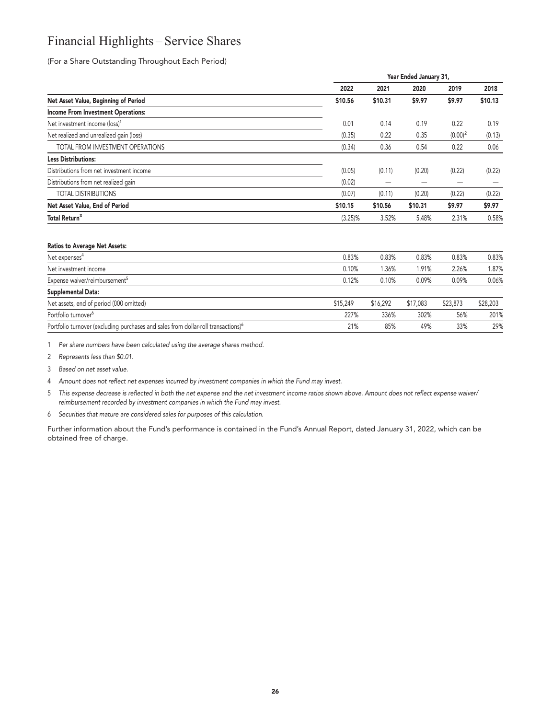# **Financial Highlights – Service Shares**

**(For a Share Outstanding Throughout Each Period)**

|                                           |            | Year Ended January 31, |         |            |         |  |
|-------------------------------------------|------------|------------------------|---------|------------|---------|--|
|                                           | 2022       | 2021                   | 2020    | 2019       | 2018    |  |
| Net Asset Value, Beginning of Period      | \$10.56    | \$10.31                | \$9.97  | \$9.97     | \$10.13 |  |
| <b>Income From Investment Operations:</b> |            |                        |         |            |         |  |
| Net investment income (loss) <sup>1</sup> | 0.01       | 0.14                   | 0.19    | 0.22       | 0.19    |  |
| Net realized and unrealized gain (loss)   | (0.35)     | 0.22                   | 0.35    | $(0.00)^2$ | (0.13)  |  |
| TOTAL FROM INVESTMENT OPERATIONS          | (0.34)     | 0.36                   | 0.54    | 0.22       | 0.06    |  |
| <b>Less Distributions:</b>                |            |                        |         |            |         |  |
| Distributions from net investment income  | (0.05)     | (0.11)                 | (0.20)  | (0.22)     | (0.22)  |  |
| Distributions from net realized gain      | (0.02)     |                        |         |            |         |  |
| <b>TOTAL DISTRIBUTIONS</b>                | (0.07)     | (0.11)                 | (0.20)  | (0.22)     | (0.22)  |  |
| Net Asset Value, End of Period            | \$10.15    | \$10.56                | \$10.31 | \$9.97     | \$9.97  |  |
| Total Return <sup>3</sup>                 | $(3.25)\%$ | 3.52%                  | 5.48%   | 2.31%      | 0.58%   |  |
|                                           |            |                        |         |            |         |  |

#### **Ratios to Average Net Assets:**

| Net expenses <sup>4</sup>                                                                     | 0.83%    | 0.83%    | 0.83%    | 0.83%    | 0.83%    |
|-----------------------------------------------------------------------------------------------|----------|----------|----------|----------|----------|
| Net investment income                                                                         | 0.10%    | 1.36%    | .91%     | 2.26%    | 1.87%    |
| Expense waiver/reimbursement <sup>5</sup>                                                     | 0.12%    | 0.10%    | 0.09%    | 0.09%    | 0.06%    |
| Supplemental Data:                                                                            |          |          |          |          |          |
| Net assets, end of period (000 omitted)                                                       | \$15,249 | \$16,292 | \$17,083 | \$23,873 | \$28,203 |
| Portfolio turnover <sup>6</sup>                                                               | 227%     | 336%     | 302%     | 56%      | 201%     |
| Portfolio turnover (excluding purchases and sales from dollar-roll transactions) <sup>6</sup> | 21%      | 85%      | 49%      | 33%      | 29%      |

**1 Per share numbers have been calculated using the average shares method.**

**2 Represents less than \$0.01.**

**3 Based on net asset value.**

**4 Amount does not reflect net expenses incurred by investment companies in which the Fund may invest.**

- **5 This expense decrease is reflected in both the net expense and the net investment income ratios shown above. Amount does not reflect expense waiver/ reimbursement recorded by investment companies in which the Fund may invest.**
- **6 Securities that mature are considered sales for purposes of this calculation.**

**Further information about the Fund's performance is contained in the Fund's Annual Report, dated January 31, 2022, which can be obtained free of charge.**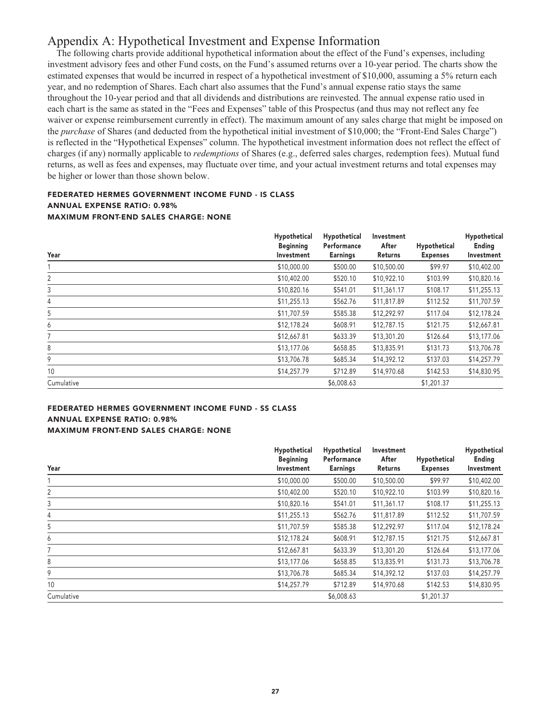# **Appendix A: Hypothetical Investment and Expense Information**

**The following charts provide additional hypothetical information about the effect of the Fund's expenses, including investment advisory fees and other Fund costs, on the Fund's assumed returns over a 10-year period. The charts show the estimated expenses that would be incurred in respect of a hypothetical investment of \$10,000, assuming a 5% return each year, and no redemption of Shares. Each chart also assumes that the Fund's annual expense ratio stays the same throughout the 10-year period and that all dividends and distributions are reinvested. The annual expense ratio used in each chart is the same as stated in the "Fees and Expenses" table of this Prospectus (and thus may not reflect any fee waiver or expense reimbursement currently in effect). The maximum amount of any sales charge that might be imposed on the** *purchase* **of Shares (and deducted from the hypothetical initial investment of \$10,000; the "Front-End Sales Charge") is reflected in the "Hypothetical Expenses" column. The hypothetical investment information does not reflect the effect of charges (if any) normally applicable to** *redemptions* **of Shares (e.g., deferred sales charges, redemption fees). Mutual fund returns, as well as fees and expenses, may fluctuate over time, and your actual investment returns and total expenses may be higher or lower than those shown below.**

#### **FEDERATED HERMES GOVERNMENT INCOME FUND - IS CLASS ANNUAL EXPENSE RATIO: 0.98% MAXIMUM FRONT-END SALES CHARGE: NONE**

| Year       | Hypothetical<br><b>Beginning</b><br>Investment | Hypothetical<br>Performance<br><b>Earnings</b> | Investment<br>After<br>Returns | Hypothetical<br><b>Expenses</b> | Hypothetical<br>Ending<br>Investment |
|------------|------------------------------------------------|------------------------------------------------|--------------------------------|---------------------------------|--------------------------------------|
|            | \$10,000.00                                    | \$500.00                                       | \$10,500.00                    | \$99.97                         | \$10,402.00                          |
| 2          | \$10,402.00                                    | \$520.10                                       | \$10,922.10                    | \$103.99                        | \$10,820.16                          |
| 3          | \$10,820.16                                    | \$541.01                                       | \$11,361.17                    | \$108.17                        | \$11,255.13                          |
| 4          | \$11,255.13                                    | \$562.76                                       | \$11,817.89                    | \$112.52                        | \$11,707.59                          |
| 5          | \$11,707.59                                    | \$585.38                                       | \$12,292.97                    | \$117.04                        | \$12,178.24                          |
| 6          | \$12,178.24                                    | \$608.91                                       | \$12,787.15                    | \$121.75                        | \$12,667.81                          |
| 7          | \$12,667.81                                    | \$633.39                                       | \$13,301.20                    | \$126.64                        | \$13,177.06                          |
| 8          | \$13,177.06                                    | \$658.85                                       | \$13,835.91                    | \$131.73                        | \$13,706.78                          |
| 9          | \$13,706.78                                    | \$685.34                                       | \$14,392.12                    | \$137.03                        | \$14,257.79                          |
| 10         | \$14,257.79                                    | \$712.89                                       | \$14,970.68                    | \$142.53                        | \$14,830.95                          |
| Cumulative |                                                | \$6,008.63                                     |                                | \$1,201.37                      |                                      |

#### **FEDERATED HERMES GOVERNMENT INCOME FUND - SS CLASS ANNUAL EXPENSE RATIO: 0.98% MAXIMUM FRONT-END SALES CHARGE: NONE**

| Year       | Hypothetical<br><b>Beginning</b><br>Investment | Hypothetical<br>Performance<br><b>Earnings</b> | Investment<br>After<br>Returns | Hypothetical<br><b>Expenses</b> | Hypothetical<br>Ending<br>Investment |
|------------|------------------------------------------------|------------------------------------------------|--------------------------------|---------------------------------|--------------------------------------|
|            |                                                |                                                |                                |                                 |                                      |
|            | \$10,000.00                                    | \$500.00                                       | \$10,500.00                    | \$99.97                         | \$10,402.00                          |
| 2          | \$10,402.00                                    | \$520.10                                       | \$10,922.10                    | \$103.99                        | \$10,820.16                          |
| 3          | \$10,820.16                                    | \$541.01                                       | \$11,361.17                    | \$108.17                        | \$11,255.13                          |
| 4          | \$11,255.13                                    | \$562.76                                       | \$11,817.89                    | \$112.52                        | \$11,707.59                          |
| 5          | \$11,707.59                                    | \$585.38                                       | \$12,292.97                    | \$117.04                        | \$12,178.24                          |
| 6          | \$12,178.24                                    | \$608.91                                       | \$12,787.15                    | \$121.75                        | \$12,667.81                          |
| 7          | \$12,667.81                                    | \$633.39                                       | \$13,301.20                    | \$126.64                        | \$13,177.06                          |
| 8          | \$13,177.06                                    | \$658.85                                       | \$13,835.91                    | \$131.73                        | \$13,706.78                          |
| 9          | \$13,706.78                                    | \$685.34                                       | \$14,392.12                    | \$137.03                        | \$14,257.79                          |
| 10         | \$14,257.79                                    | \$712.89                                       | \$14,970.68                    | \$142.53                        | \$14,830.95                          |
| Cumulative |                                                | \$6,008.63                                     |                                | \$1,201.37                      |                                      |